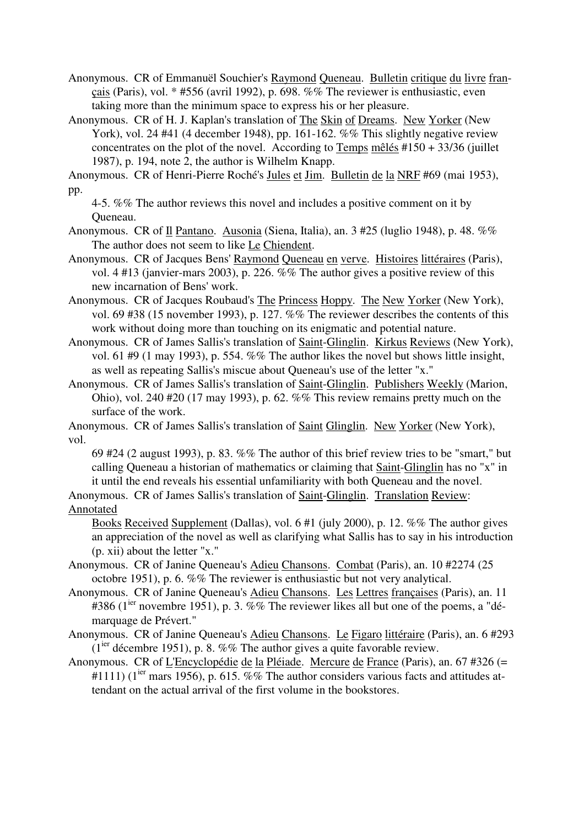Anonymous. CR of Emmanuël Souchier's Raymond Queneau. Bulletin critique du livre français (Paris), vol. \* #556 (avril 1992), p. 698. %% The reviewer is enthusiastic, even taking more than the minimum space to express his or her pleasure.

Anonymous. CR of H. J. Kaplan's translation of The Skin of Dreams. New Yorker (New York), vol. 24 #41 (4 december 1948), pp. 161-162. %% This slightly negative review concentrates on the plot of the novel. According to Temps mêlés #150 + 33/36 (juillet 1987), p. 194, note 2, the author is Wilhelm Knapp.

Anonymous. CR of Henri-Pierre Roché's Jules et Jim. Bulletin de la NRF #69 (mai 1953), pp.

4-5. %% The author reviews this novel and includes a positive comment on it by Queneau.

Anonymous. CR of Il Pantano. Ausonia (Siena, Italia), an. 3 #25 (luglio 1948), p. 48. %% The author does not seem to like Le Chiendent.

Anonymous. CR of Jacques Bens' Raymond Queneau en verve. Histoires littéraires (Paris), vol. 4 #13 (janvier-mars 2003), p. 226. %% The author gives a positive review of this new incarnation of Bens' work.

Anonymous. CR of Jacques Roubaud's The Princess Hoppy. The New Yorker (New York), vol. 69 #38 (15 november 1993), p. 127. %% The reviewer describes the contents of this work without doing more than touching on its enigmatic and potential nature.

Anonymous. CR of James Sallis's translation of Saint-Glinglin. Kirkus Reviews (New York), vol. 61 #9 (1 may 1993), p. 554. %% The author likes the novel but shows little insight, as well as repeating Sallis's miscue about Queneau's use of the letter "x."

Anonymous. CR of James Sallis's translation of Saint-Glinglin. Publishers Weekly (Marion, Ohio), vol. 240 #20 (17 may 1993), p. 62. %% This review remains pretty much on the surface of the work.

Anonymous. CR of James Sallis's translation of Saint Glinglin. New Yorker (New York), vol.

69 #24 (2 august 1993), p. 83. %% The author of this brief review tries to be "smart," but calling Queneau a historian of mathematics or claiming that Saint-Glinglin has no "x" in it until the end reveals his essential unfamiliarity with both Queneau and the novel.

Anonymous. CR of James Sallis's translation of Saint-Glinglin. Translation Review: Annotated

Books Received Supplement (Dallas), vol. 6 #1 (july 2000), p. 12. %% The author gives an appreciation of the novel as well as clarifying what Sallis has to say in his introduction (p. xii) about the letter "x."

Anonymous. CR of Janine Queneau's Adieu Chansons. Combat (Paris), an. 10 #2274 (25 octobre 1951), p. 6. %% The reviewer is enthusiastic but not very analytical.

Anonymous. CR of Janine Queneau's Adieu Chansons. Les Lettres françaises (Paris), an. 11 #386 ( $1^{ier}$  novembre 1951), p. 3. %% The reviewer likes all but one of the poems, a "démarquage de Prévert."

Anonymous. CR of Janine Queneau's Adieu Chansons. Le Figaro littéraire (Paris), an. 6 #293  $(1<sup>ier</sup>$  décembre 1951), p. 8. %% The author gives a quite favorable review.

Anonymous. CR of L'Encyclopédie de la Pléiade. Mercure de France (Paris), an. 67 #326 (=  $\#1111$ ) (1<sup>ier</sup> mars 1956), p. 615. %% The author considers various facts and attitudes attendant on the actual arrival of the first volume in the bookstores.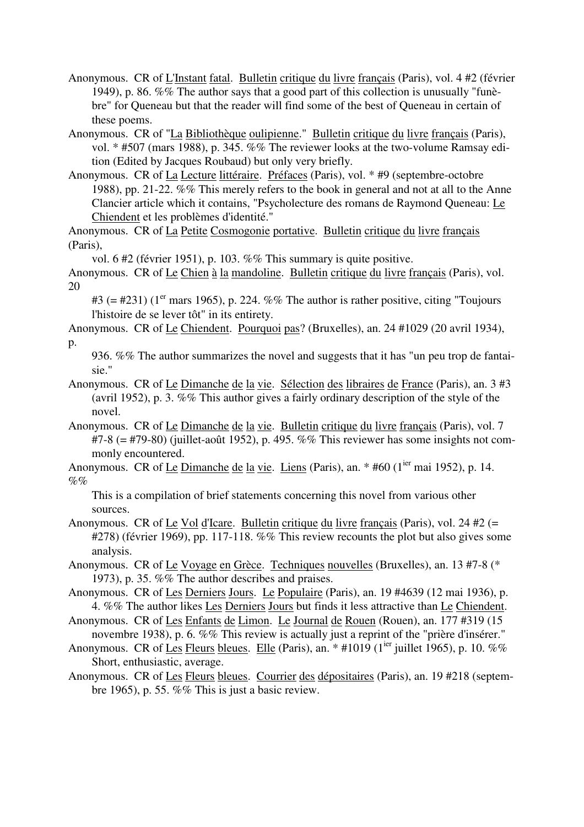- Anonymous. CR of L'Instant fatal. Bulletin critique du livre français (Paris), vol. 4 #2 (février 1949), p. 86. %% The author says that a good part of this collection is unusually "funèbre" for Queneau but that the reader will find some of the best of Queneau in certain of these poems.
- Anonymous. CR of "La Bibliothèque oulipienne." Bulletin critique du livre français (Paris), vol. \* #507 (mars 1988), p. 345. %% The reviewer looks at the two-volume Ramsay edition (Edited by Jacques Roubaud) but only very briefly.
- Anonymous. CR of La Lecture littéraire. Préfaces (Paris), vol. \* #9 (septembre-octobre 1988), pp. 21-22. %% This merely refers to the book in general and not at all to the Anne Clancier article which it contains, "Psycholecture des romans de Raymond Queneau: Le Chiendent et les problèmes d'identité."

Anonymous. CR of La Petite Cosmogonie portative. Bulletin critique du livre français (Paris),

vol. 6 #2 (février 1951), p. 103. %% This summary is quite positive.

Anonymous. CR of Le Chien à la mandoline. Bulletin critique du livre français (Paris), vol. 20

#3 ( $=$  #231) (1<sup>er</sup> mars 1965), p. 224. %% The author is rather positive, citing "Toujours" l'histoire de se lever tôt" in its entirety.

- Anonymous. CR of Le Chiendent. Pourquoi pas? (Bruxelles), an. 24 #1029 (20 avril 1934), p.
	- 936. %% The author summarizes the novel and suggests that it has "un peu trop de fantaisie."
- Anonymous. CR of Le Dimanche de la vie. Sélection des libraires de France (Paris), an. 3 #3 (avril 1952), p. 3. %% This author gives a fairly ordinary description of the style of the novel.
- Anonymous. CR of Le Dimanche de la vie. Bulletin critique du livre français (Paris), vol. 7  $#7-8$  (=  $#79-80$ ) (juillet-août 1952), p. 495. %% This reviewer has some insights not commonly encountered.
- Anonymous. CR of Le Dimanche de la vie. Liens (Paris), an.  $*$  #60 (1<sup>ier</sup> mai 1952), p. 14.  $\%$ %

This is a compilation of brief statements concerning this novel from various other sources.

- Anonymous. CR of Le Vol d'Icare. Bulletin critique du livre français (Paris), vol. 24 #2 (= #278) (février 1969), pp. 117-118. %% This review recounts the plot but also gives some analysis.
- Anonymous. CR of Le Voyage en Grèce. Techniques nouvelles (Bruxelles), an. 13 #7-8 (\* 1973), p. 35. %% The author describes and praises.
- Anonymous. CR of Les Derniers Jours. Le Populaire (Paris), an. 19 #4639 (12 mai 1936), p. 4. %% The author likes Les Derniers Jours but finds it less attractive than Le Chiendent.
- Anonymous. CR of Les Enfants de Limon. Le Journal de Rouen (Rouen), an. 177 #319 (15 novembre 1938), p. 6. %% This review is actually just a reprint of the "prière d'insérer."
- Anonymous. CR of Les Fleurs bleues. Elle (Paris), an.  $*$  #1019 (1<sup>ier</sup> juillet 1965), p. 10. %% Short, enthusiastic, average.
- Anonymous. CR of Les Fleurs bleues. Courrier des dépositaires (Paris), an. 19 #218 (septembre 1965), p. 55. %% This is just a basic review.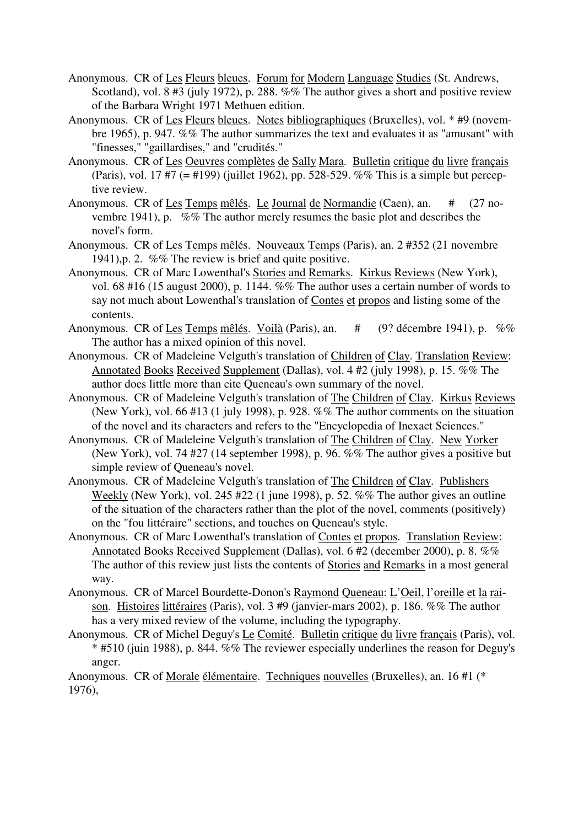- Anonymous. CR of Les Fleurs bleues. Forum for Modern Language Studies (St. Andrews, Scotland), vol. 8 #3 (july 1972), p. 288. %% The author gives a short and positive review of the Barbara Wright 1971 Methuen edition.
- Anonymous. CR of Les Fleurs bleues. Notes bibliographiques (Bruxelles), vol. \* #9 (novembre 1965), p. 947. %% The author summarizes the text and evaluates it as "amusant" with "finesses," "gaillardises," and "crudités."
- Anonymous. CR of Les Oeuvres complètes de Sally Mara. Bulletin critique du livre français (Paris), vol. 17 #7 (= #199) (juillet 1962), pp. 528-529. %% This is a simple but perceptive review.
- Anonymous. CR of Les Temps mêlés. Le Journal de Normandie (Caen), an. # (27 novembre 1941), p. %% The author merely resumes the basic plot and describes the novel's form.
- Anonymous. CR of Les Temps mêlés. Nouveaux Temps (Paris), an. 2 #352 (21 novembre 1941),p. 2. %% The review is brief and quite positive.
- Anonymous. CR of Marc Lowenthal's Stories and Remarks. Kirkus Reviews (New York), vol. 68 #16 (15 august 2000), p. 1144. %% The author uses a certain number of words to say not much about Lowenthal's translation of Contes et propos and listing some of the contents.
- Anonymous. CR of Les Temps mêlés. Voilà (Paris), an. # (9? décembre 1941), p. %% The author has a mixed opinion of this novel.
- Anonymous. CR of Madeleine Velguth's translation of Children of Clay. Translation Review: Annotated Books Received Supplement (Dallas), vol. 4 #2 (july 1998), p. 15. %% The author does little more than cite Queneau's own summary of the novel.
- Anonymous. CR of Madeleine Velguth's translation of The Children of Clay. Kirkus Reviews (New York), vol. 66 #13 (1 july 1998), p. 928. %% The author comments on the situation of the novel and its characters and refers to the "Encyclopedia of Inexact Sciences."
- Anonymous. CR of Madeleine Velguth's translation of The Children of Clay. New Yorker (New York), vol. 74 #27 (14 september 1998), p. 96. %% The author gives a positive but simple review of Queneau's novel.
- Anonymous. CR of Madeleine Velguth's translation of The Children of Clay. Publishers Weekly (New York), vol. 245 #22 (1 june 1998), p. 52. %% The author gives an outline of the situation of the characters rather than the plot of the novel, comments (positively) on the "fou littéraire" sections, and touches on Queneau's style.
- Anonymous. CR of Marc Lowenthal's translation of Contes et propos. Translation Review: Annotated Books Received Supplement (Dallas), vol. 6 #2 (december 2000), p. 8. %% The author of this review just lists the contents of Stories and Remarks in a most general way.
- Anonymous. CR of Marcel Bourdette-Donon's Raymond Queneau: L'Oeil, l'oreille et la raison. Histoires littéraires (Paris), vol. 3 #9 (janvier-mars 2002), p. 186. %% The author has a very mixed review of the volume, including the typography.
- Anonymous. CR of Michel Deguy's Le Comité. Bulletin critique du livre français (Paris), vol. \* #510 (juin 1988), p. 844. %% The reviewer especially underlines the reason for Deguy's anger.

Anonymous. CR of Morale élémentaire. Techniques nouvelles (Bruxelles), an. 16 #1 (\* 1976),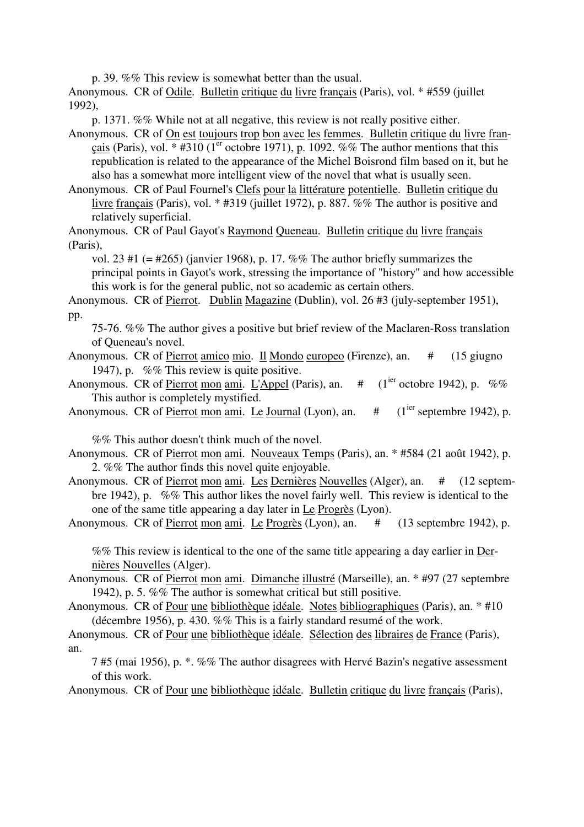p. 39. %% This review is somewhat better than the usual.

Anonymous. CR of Odile. Bulletin critique du livre français (Paris), vol. \* #559 (juillet 1992),

p. 1371. %% While not at all negative, this review is not really positive either.

Anonymous. CR of On est toujours trop bon avec les femmes. Bulletin critique du livre français (Paris), vol. \* #310 ( $1<sup>er</sup>$  octobre 1971), p. 1092. %% The author mentions that this republication is related to the appearance of the Michel Boisrond film based on it, but he also has a somewhat more intelligent view of the novel that what is usually seen.

Anonymous. CR of Paul Fournel's Clefs pour la littérature potentielle. Bulletin critique du livre français (Paris), vol. \* #319 (juillet 1972), p. 887. %% The author is positive and relatively superficial.

Anonymous. CR of Paul Gayot's Raymond Queneau. Bulletin critique du livre français (Paris),

vol. 23 #1 (= #265) (janvier 1968), p. 17. %% The author briefly summarizes the principal points in Gayot's work, stressing the importance of "history" and how accessible this work is for the general public, not so academic as certain others.

Anonymous. CR of Pierrot. Dublin Magazine (Dublin), vol. 26 #3 (july-september 1951), pp.

75-76. %% The author gives a positive but brief review of the Maclaren-Ross translation of Queneau's novel.

- Anonymous. CR of Pierrot amico mio. Il Mondo europeo (Firenze), an. # (15 giugno 1947), p. %% This review is quite positive.
- Anonymous. CR of Pierrot mon ami. L'Appel (Paris), an.  $\#$  (1<sup>ier</sup> octobre 1942), p. %% This author is completely mystified.
- Anonymous. CR of Pierrot mon ami. Le Journal (Lyon), an.  $\#$  (1<sup>ier</sup> septembre 1942), p.

%% This author doesn't think much of the novel.

- Anonymous. CR of Pierrot mon ami. Nouveaux Temps (Paris), an. \* #584 (21 août 1942), p. 2. %% The author finds this novel quite enjoyable.
- Anonymous. CR of Pierrot mon ami. Les Dernières Nouvelles (Alger), an. # (12 septembre 1942), p. %% This author likes the novel fairly well. This review is identical to the one of the same title appearing a day later in Le Progrès (Lyon).
- Anonymous. CR of Pierrot mon ami. Le Progrès (Lyon), an. # (13 septembre 1942), p.

%% This review is identical to the one of the same title appearing a day earlier in Dernières Nouvelles (Alger).

- Anonymous. CR of Pierrot mon ami. Dimanche illustré (Marseille), an. \* #97 (27 septembre 1942), p. 5. %% The author is somewhat critical but still positive.
- Anonymous. CR of Pour une bibliothèque idéale. Notes bibliographiques (Paris), an. \* #10 (décembre 1956), p. 430. %% This is a fairly standard resumé of the work.

Anonymous. CR of Pour une bibliothèque idéale. Sélection des libraires de France (Paris), an.

7 #5 (mai 1956), p. \*. %% The author disagrees with Hervé Bazin's negative assessment of this work.

Anonymous. CR of Pour une bibliothèque idéale. Bulletin critique du livre français (Paris),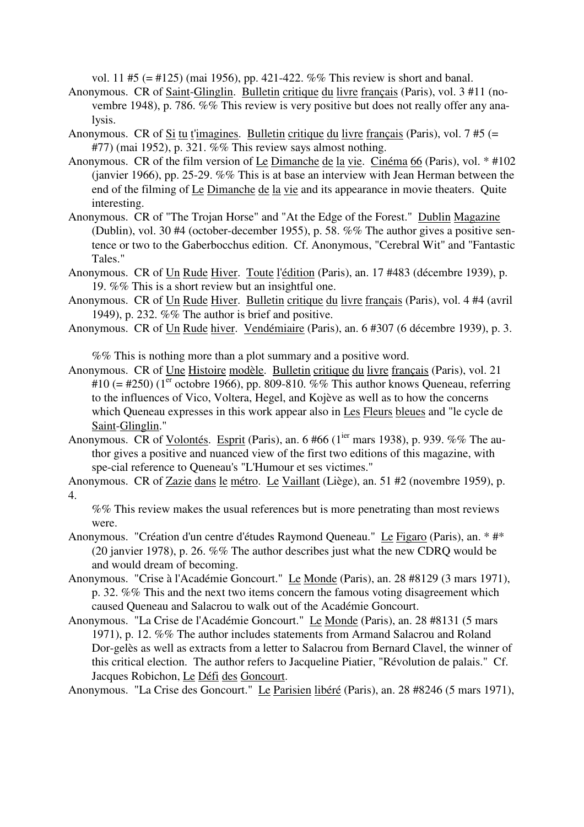vol. 11 #5 (= #125) (mai 1956), pp. 421-422. %% This review is short and banal.

- Anonymous. CR of Saint-Glinglin. Bulletin critique du livre français (Paris), vol. 3 #11 (novembre 1948), p. 786. %% This review is very positive but does not really offer any analysis.
- Anonymous. CR of Si tu t'imagines. Bulletin critique du livre français (Paris), vol. 7 #5 (= #77) (mai 1952), p. 321. %% This review says almost nothing.
- Anonymous. CR of the film version of Le Dimanche de la vie. Cinéma 66 (Paris), vol. \* #102 (janvier 1966), pp. 25-29. %% This is at base an interview with Jean Herman between the end of the filming of Le Dimanche de la vie and its appearance in movie theaters. Quite interesting.
- Anonymous. CR of "The Trojan Horse" and "At the Edge of the Forest." Dublin Magazine (Dublin), vol. 30 #4 (october-december 1955), p. 58. %% The author gives a positive sentence or two to the Gaberbocchus edition. Cf. Anonymous, "Cerebral Wit" and "Fantastic Tales."
- Anonymous. CR of Un Rude Hiver. Toute l'édition (Paris), an. 17 #483 (décembre 1939), p. 19. %% This is a short review but an insightful one.
- Anonymous. CR of Un Rude Hiver. Bulletin critique du livre français (Paris), vol. 4 #4 (avril 1949), p. 232. %% The author is brief and positive.
- Anonymous. CR of Un Rude hiver. Vendémiaire (Paris), an. 6 #307 (6 décembre 1939), p. 3.

%% This is nothing more than a plot summary and a positive word.

- Anonymous. CR of Une Histoire modèle. Bulletin critique du livre français (Paris), vol. 21 #10 (= #250) ( $1<sup>er</sup>$  octobre 1966), pp. 809-810. %% This author knows Queneau, referring to the influences of Vico, Voltera, Hegel, and Kojève as well as to how the concerns which Queneau expresses in this work appear also in Les Fleurs bleues and "le cycle de Saint-Glinglin."
- Anonymous. CR of Volontés. Esprit (Paris), an. 6 #66 (1<sup>ier</sup> mars 1938), p. 939. %% The author gives a positive and nuanced view of the first two editions of this magazine, with spe-cial reference to Queneau's "L'Humour et ses victimes."
- Anonymous. CR of Zazie dans le métro. Le Vaillant (Liège), an. 51 #2 (novembre 1959), p. 4.

%% This review makes the usual references but is more penetrating than most reviews were.

- Anonymous. "Création d'un centre d'études Raymond Queneau." Le Figaro (Paris), an. \* #\* (20 janvier 1978), p. 26. %% The author describes just what the new CDRQ would be and would dream of becoming.
- Anonymous. "Crise à l'Académie Goncourt." Le Monde (Paris), an. 28 #8129 (3 mars 1971), p. 32. %% This and the next two items concern the famous voting disagreement which caused Queneau and Salacrou to walk out of the Académie Goncourt.
- Anonymous. "La Crise de l'Académie Goncourt." Le Monde (Paris), an. 28 #8131 (5 mars 1971), p. 12. %% The author includes statements from Armand Salacrou and Roland Dor-gelès as well as extracts from a letter to Salacrou from Bernard Clavel, the winner of this critical election. The author refers to Jacqueline Piatier, "Révolution de palais." Cf. Jacques Robichon, Le Défi des Goncourt.

Anonymous. "La Crise des Goncourt." Le Parisien libéré (Paris), an. 28 #8246 (5 mars 1971),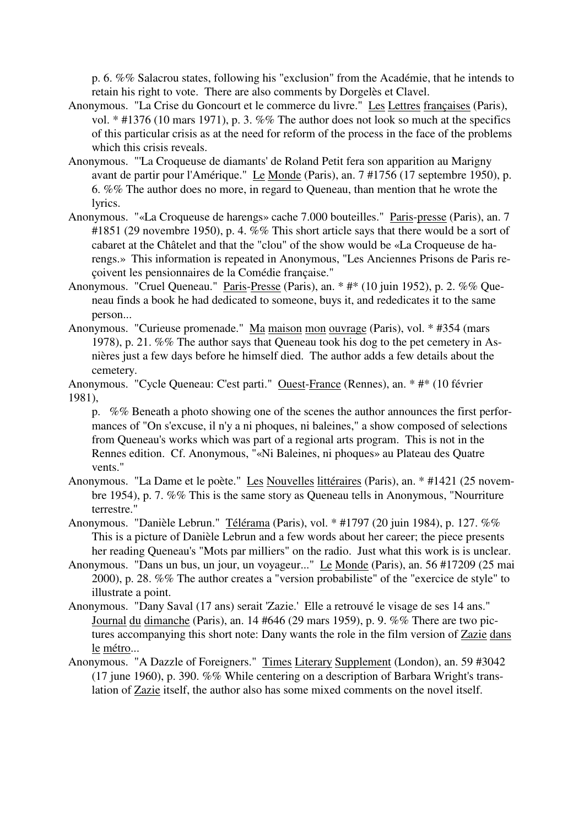p. 6. %% Salacrou states, following his "exclusion" from the Académie, that he intends to retain his right to vote. There are also comments by Dorgelès et Clavel.

- Anonymous. "La Crise du Goncourt et le commerce du livre." Les Lettres françaises (Paris), vol. \* #1376 (10 mars 1971), p. 3. %% The author does not look so much at the specifics of this particular crisis as at the need for reform of the process in the face of the problems which this crisis reveals.
- Anonymous. "'La Croqueuse de diamants' de Roland Petit fera son apparition au Marigny avant de partir pour l'Amérique." Le Monde (Paris), an. 7 #1756 (17 septembre 1950), p. 6. %% The author does no more, in regard to Queneau, than mention that he wrote the lyrics.
- Anonymous. "«La Croqueuse de harengs» cache 7.000 bouteilles." Paris-presse (Paris), an. 7 #1851 (29 novembre 1950), p. 4. %% This short article says that there would be a sort of cabaret at the Châtelet and that the "clou" of the show would be «La Croqueuse de harengs.» This information is repeated in Anonymous, "Les Anciennes Prisons de Paris reçoivent les pensionnaires de la Comédie française."
- Anonymous. "Cruel Queneau." Paris-Presse (Paris), an. \* #\* (10 juin 1952), p. 2. %% Queneau finds a book he had dedicated to someone, buys it, and rededicates it to the same person...
- Anonymous. "Curieuse promenade." Ma maison mon ouvrage (Paris), vol. \* #354 (mars 1978), p. 21. %% The author says that Queneau took his dog to the pet cemetery in Asnières just a few days before he himself died. The author adds a few details about the cemetery.
- Anonymous. "Cycle Queneau: C'est parti." Ouest-France (Rennes), an. \* #\* (10 février 1981),

p. %% Beneath a photo showing one of the scenes the author announces the first performances of "On s'excuse, il n'y a ni phoques, ni baleines," a show composed of selections from Queneau's works which was part of a regional arts program. This is not in the Rennes edition. Cf. Anonymous, "«Ni Baleines, ni phoques» au Plateau des Quatre vents."

- Anonymous. "La Dame et le poète." Les Nouvelles littéraires (Paris), an. \* #1421 (25 novembre 1954), p. 7. %% This is the same story as Queneau tells in Anonymous, "Nourriture terrestre."
- Anonymous. "Danièle Lebrun." Télérama (Paris), vol. \* #1797 (20 juin 1984), p. 127. %% This is a picture of Danièle Lebrun and a few words about her career; the piece presents her reading Queneau's "Mots par milliers" on the radio. Just what this work is is unclear.
- Anonymous. "Dans un bus, un jour, un voyageur..." Le Monde (Paris), an. 56 #17209 (25 mai 2000), p. 28. %% The author creates a "version probabiliste" of the "exercice de style" to illustrate a point.
- Anonymous. "Dany Saval (17 ans) serait 'Zazie.' Elle a retrouvé le visage de ses 14 ans." Journal du dimanche (Paris), an. 14 #646 (29 mars 1959), p. 9. %% There are two pictures accompanying this short note: Dany wants the role in the film version of Zazie dans le métro...
- Anonymous. "A Dazzle of Foreigners." Times Literary Supplement (London), an. 59 #3042 (17 june 1960), p. 390. %% While centering on a description of Barbara Wright's translation of Zazie itself, the author also has some mixed comments on the novel itself.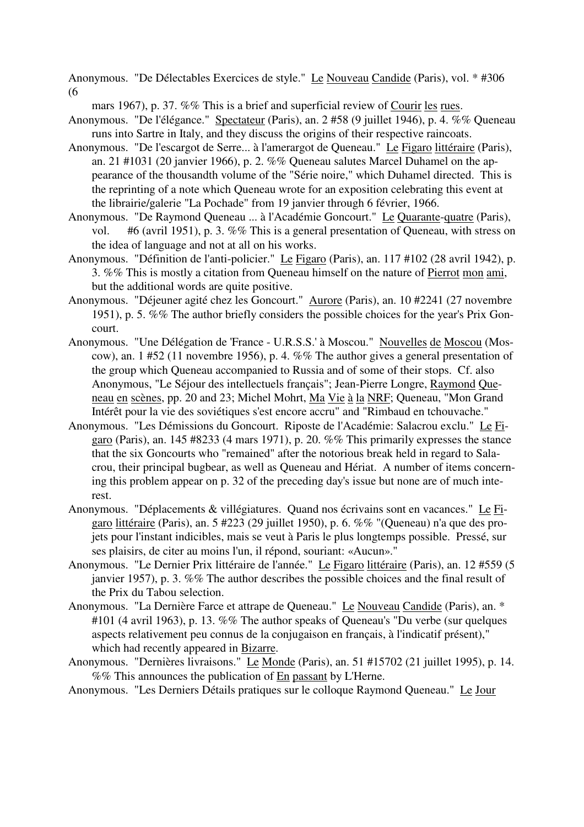Anonymous. "De Délectables Exercices de style." Le Nouveau Candide (Paris), vol. \* #306 (6

mars 1967), p. 37. %% This is a brief and superficial review of Courir les rues.

- Anonymous. "De l'élégance." Spectateur (Paris), an. 2 #58 (9 juillet 1946), p. 4. %% Queneau runs into Sartre in Italy, and they discuss the origins of their respective raincoats.
- Anonymous. "De l'escargot de Serre... à l'amerargot de Queneau." Le Figaro littéraire (Paris), an. 21 #1031 (20 janvier 1966), p. 2. %% Queneau salutes Marcel Duhamel on the appearance of the thousandth volume of the "Série noire," which Duhamel directed. This is the reprinting of a note which Queneau wrote for an exposition celebrating this event at the librairie/galerie "La Pochade" from 19 janvier through 6 février, 1966.
- Anonymous. "De Raymond Queneau ... à l'Académie Goncourt." Le Quarante-quatre (Paris), vol. #6 (avril 1951), p. 3. %% This is a general presentation of Queneau, with stress on the idea of language and not at all on his works.
- Anonymous. "Définition de l'anti-policier." Le Figaro (Paris), an. 117 #102 (28 avril 1942), p. 3. %% This is mostly a citation from Queneau himself on the nature of Pierrot mon ami, but the additional words are quite positive.
- Anonymous. "Déjeuner agité chez les Goncourt." Aurore (Paris), an. 10 #2241 (27 novembre 1951), p. 5. %% The author briefly considers the possible choices for the year's Prix Goncourt.
- Anonymous. "Une Délégation de 'France U.R.S.S.' à Moscou." Nouvelles de Moscou (Moscow), an. 1 #52 (11 novembre 1956), p. 4. %% The author gives a general presentation of the group which Queneau accompanied to Russia and of some of their stops. Cf. also Anonymous, "Le Séjour des intellectuels français"; Jean-Pierre Longre, Raymond Queneau en scènes, pp. 20 and 23; Michel Mohrt, Ma Vie à la NRF; Queneau, "Mon Grand Intérêt pour la vie des soviétiques s'est encore accru" and "Rimbaud en tchouvache."
- Anonymous. "Les Démissions du Goncourt. Riposte de l'Académie: Salacrou exclu." Le Figaro (Paris), an. 145 #8233 (4 mars 1971), p. 20. %% This primarily expresses the stance that the six Goncourts who "remained" after the notorious break held in regard to Salacrou, their principal bugbear, as well as Queneau and Hériat. A number of items concerning this problem appear on p. 32 of the preceding day's issue but none are of much interest.
- Anonymous. "Déplacements & villégiatures. Quand nos écrivains sont en vacances." Le Figaro littéraire (Paris), an. 5 #223 (29 juillet 1950), p. 6. %% "(Queneau) n'a que des projets pour l'instant indicibles, mais se veut à Paris le plus longtemps possible. Pressé, sur ses plaisirs, de citer au moins l'un, il répond, souriant: «Aucun»."
- Anonymous. "Le Dernier Prix littéraire de l'année." Le Figaro littéraire (Paris), an. 12 #559 (5 janvier 1957), p. 3. %% The author describes the possible choices and the final result of the Prix du Tabou selection.
- Anonymous. "La Dernière Farce et attrape de Queneau." Le Nouveau Candide (Paris), an. \* #101 (4 avril 1963), p. 13. %% The author speaks of Queneau's "Du verbe (sur quelques aspects relativement peu connus de la conjugaison en français, à l'indicatif présent)," which had recently appeared in Bizarre.
- Anonymous. "Dernières livraisons." Le Monde (Paris), an. 51 #15702 (21 juillet 1995), p. 14. %% This announces the publication of En passant by L'Herne.

Anonymous. "Les Derniers Détails pratiques sur le colloque Raymond Queneau." Le Jour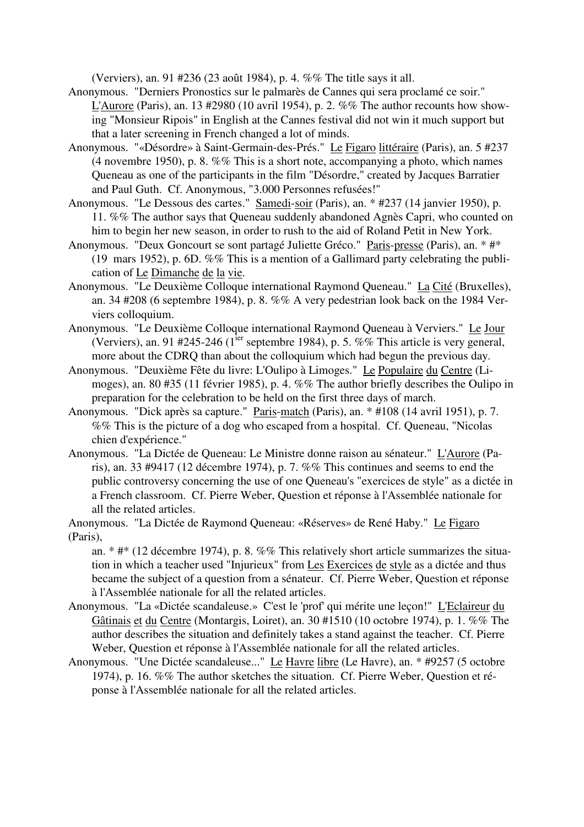(Verviers), an. 91 #236 (23 août 1984), p. 4. %% The title says it all.

- Anonymous. "Derniers Pronostics sur le palmarès de Cannes qui sera proclamé ce soir." L'Aurore (Paris), an. 13 #2980 (10 avril 1954), p. 2. %% The author recounts how showing "Monsieur Ripois" in English at the Cannes festival did not win it much support but that a later screening in French changed a lot of minds.
- Anonymous. "«Désordre» à Saint-Germain-des-Prés." Le Figaro littéraire (Paris), an. 5 #237 (4 novembre 1950), p. 8. %% This is a short note, accompanying a photo, which names Queneau as one of the participants in the film "Désordre," created by Jacques Barratier and Paul Guth. Cf. Anonymous, "3.000 Personnes refusées!"
- Anonymous. "Le Dessous des cartes." Samedi-soir (Paris), an. \* #237 (14 janvier 1950), p. 11. %% The author says that Queneau suddenly abandoned Agnès Capri, who counted on him to begin her new season, in order to rush to the aid of Roland Petit in New York.
- Anonymous. "Deux Goncourt se sont partagé Juliette Gréco." Paris-presse (Paris), an. \* #\* (19 mars 1952), p. 6D. %% This is a mention of a Gallimard party celebrating the publication of Le Dimanche de la vie.
- Anonymous. "Le Deuxième Colloque international Raymond Queneau." La Cité (Bruxelles), an. 34 #208 (6 septembre 1984), p. 8. %% A very pedestrian look back on the 1984 Verviers colloquium.
- Anonymous. "Le Deuxième Colloque international Raymond Queneau à Verviers." Le Jour (Verviers), an. 91 #245-246 (1<sup>ier</sup> septembre 1984), p. 5. %% This article is very general, more about the CDRQ than about the colloquium which had begun the previous day.
- Anonymous. "Deuxième Fête du livre: L'Oulipo à Limoges." Le Populaire du Centre (Limoges), an. 80 #35 (11 février 1985), p. 4. %% The author briefly describes the Oulipo in preparation for the celebration to be held on the first three days of march.
- Anonymous. "Dick après sa capture." Paris-match (Paris), an. \* #108 (14 avril 1951), p. 7. %% This is the picture of a dog who escaped from a hospital. Cf. Queneau, "Nicolas chien d'expérience."
- Anonymous. "La Dictée de Queneau: Le Ministre donne raison au sénateur." L'Aurore (Paris), an. 33 #9417 (12 décembre 1974), p. 7. %% This continues and seems to end the public controversy concerning the use of one Queneau's "exercices de style" as a dictée in a French classroom. Cf. Pierre Weber, Question et réponse à l'Assemblée nationale for all the related articles.
- Anonymous. "La Dictée de Raymond Queneau: «Réserves» de René Haby." Le Figaro (Paris),
	- an. \* #\* (12 décembre 1974), p. 8. %% This relatively short article summarizes the situation in which a teacher used "Injurieux" from Les Exercices de style as a dictée and thus became the subject of a question from a sénateur. Cf. Pierre Weber, Question et réponse à l'Assemblée nationale for all the related articles.
- Anonymous. "La «Dictée scandaleuse.» C'est le 'prof' qui mérite une leçon!" L'Eclaireur du Gâtinais et du Centre (Montargis, Loiret), an. 30 #1510 (10 octobre 1974), p. 1. %% The author describes the situation and definitely takes a stand against the teacher. Cf. Pierre Weber, Question et réponse à l'Assemblée nationale for all the related articles.
- Anonymous. "Une Dictée scandaleuse..." Le Havre libre (Le Havre), an. \* #9257 (5 octobre 1974), p. 16. %% The author sketches the situation. Cf. Pierre Weber, Question et réponse à l'Assemblée nationale for all the related articles.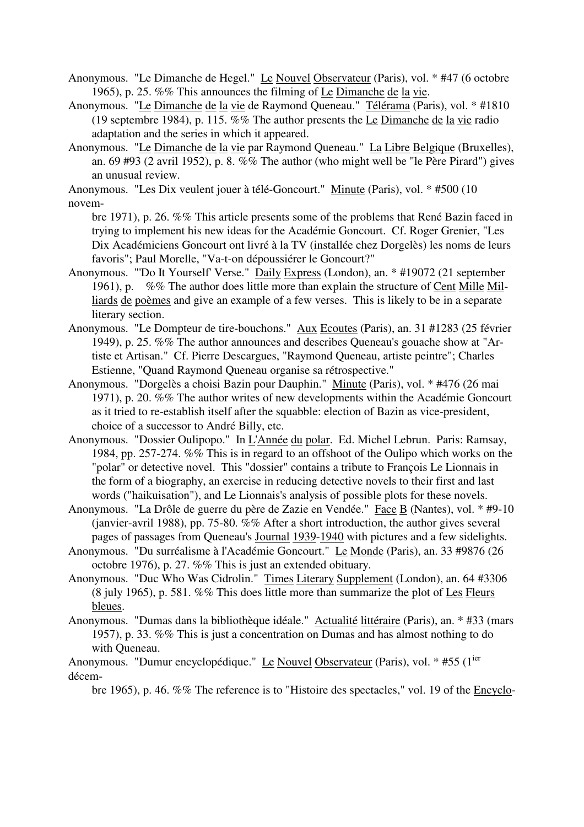Anonymous. "Le Dimanche de Hegel." Le Nouvel Observateur (Paris), vol. \* #47 (6 octobre 1965), p. 25. %% This announces the filming of Le Dimanche de la vie.

Anonymous. "Le Dimanche de la vie de Raymond Queneau." Télérama (Paris), vol. \* #1810 (19 septembre 1984), p. 115. %% The author presents the Le Dimanche de la vie radio adaptation and the series in which it appeared.

Anonymous. "Le Dimanche de la vie par Raymond Queneau." La Libre Belgique (Bruxelles), an. 69 #93 (2 avril 1952), p. 8. %% The author (who might well be "le Père Pirard") gives an unusual review.

Anonymous. "Les Dix veulent jouer à télé-Goncourt." Minute (Paris), vol. \* #500 (10 novem-

bre 1971), p. 26. %% This article presents some of the problems that René Bazin faced in trying to implement his new ideas for the Académie Goncourt. Cf. Roger Grenier, "Les Dix Académiciens Goncourt ont livré à la TV (installée chez Dorgelès) les noms de leurs favoris"; Paul Morelle, "Va-t-on dépoussiérer le Goncourt?"

- Anonymous. "'Do It Yourself' Verse." Daily Express (London), an. \* #19072 (21 september 1961), p. %% The author does little more than explain the structure of Cent Mille Milliards de poèmes and give an example of a few verses. This is likely to be in a separate literary section.
- Anonymous. "Le Dompteur de tire-bouchons." Aux Ecoutes (Paris), an. 31 #1283 (25 février 1949), p. 25. %% The author announces and describes Queneau's gouache show at "Artiste et Artisan." Cf. Pierre Descargues, "Raymond Queneau, artiste peintre"; Charles Estienne, "Quand Raymond Queneau organise sa rétrospective."
- Anonymous. "Dorgelès a choisi Bazin pour Dauphin." Minute (Paris), vol. \* #476 (26 mai 1971), p. 20. %% The author writes of new developments within the Académie Goncourt as it tried to re-establish itself after the squabble: election of Bazin as vice-president, choice of a successor to André Billy, etc.
- Anonymous. "Dossier Oulipopo." In L'Année du polar. Ed. Michel Lebrun. Paris: Ramsay, 1984, pp. 257-274. %% This is in regard to an offshoot of the Oulipo which works on the "polar" or detective novel. This "dossier" contains a tribute to François Le Lionnais in the form of a biography, an exercise in reducing detective novels to their first and last words ("haikuisation"), and Le Lionnais's analysis of possible plots for these novels.
- Anonymous. "La Drôle de guerre du père de Zazie en Vendée." Face B (Nantes), vol. \* #9-10 (janvier-avril 1988), pp. 75-80. %% After a short introduction, the author gives several pages of passages from Queneau's Journal 1939-1940 with pictures and a few sidelights.
- Anonymous. "Du surréalisme à l'Académie Goncourt." Le Monde (Paris), an. 33 #9876 (26 octobre 1976), p. 27. %% This is just an extended obituary.
- Anonymous. "Duc Who Was Cidrolin." Times Literary Supplement (London), an. 64 #3306 (8 july 1965), p. 581. %% This does little more than summarize the plot of Les Fleurs bleues.
- Anonymous. "Dumas dans la bibliothèque idéale." Actualité littéraire (Paris), an. \* #33 (mars 1957), p. 33. %% This is just a concentration on Dumas and has almost nothing to do with Queneau.

Anonymous. "Dumur encyclopédique." Le Nouvel Observateur (Paris), vol. \* #55 (1<sup>ier</sup> décem-

bre 1965), p. 46. %% The reference is to "Histoire des spectacles," vol. 19 of the Encyclo-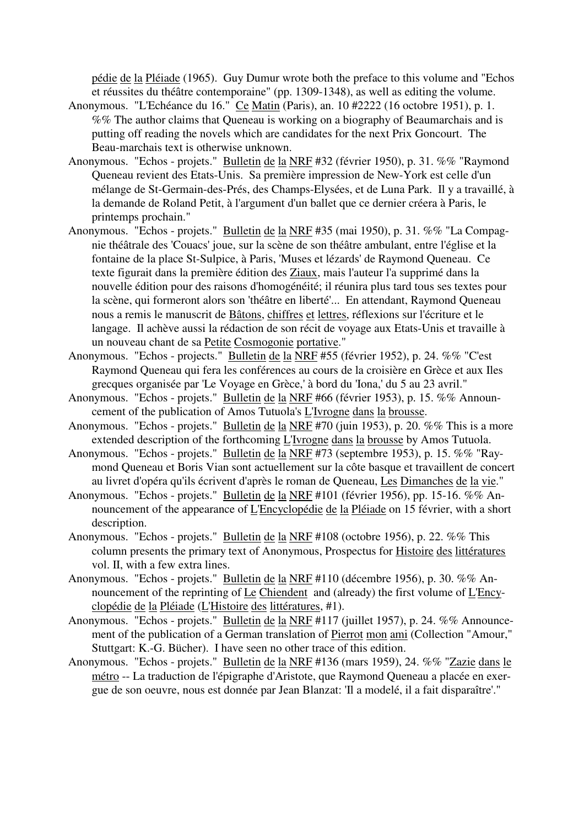pédie de la Pléiade (1965). Guy Dumur wrote both the preface to this volume and "Echos et réussites du théâtre contemporaine" (pp. 1309-1348), as well as editing the volume.

- Anonymous. "L'Echéance du 16." Ce Matin (Paris), an. 10 #2222 (16 octobre 1951), p. 1. %% The author claims that Queneau is working on a biography of Beaumarchais and is putting off reading the novels which are candidates for the next Prix Goncourt. The Beau-marchais text is otherwise unknown.
- Anonymous. "Echos projets." Bulletin de la NRF #32 (février 1950), p. 31. %% "Raymond Queneau revient des Etats-Unis. Sa première impression de New-York est celle d'un mélange de St-Germain-des-Prés, des Champs-Elysées, et de Luna Park. Il y a travaillé, à la demande de Roland Petit, à l'argument d'un ballet que ce dernier créera à Paris, le printemps prochain."
- Anonymous. "Echos projets." Bulletin de la NRF #35 (mai 1950), p. 31. %% "La Compagnie théâtrale des 'Couacs' joue, sur la scène de son théâtre ambulant, entre l'église et la fontaine de la place St-Sulpice, à Paris, 'Muses et lézards' de Raymond Queneau. Ce texte figurait dans la première édition des Ziaux, mais l'auteur l'a supprimé dans la nouvelle édition pour des raisons d'homogénéité; il réunira plus tard tous ses textes pour la scène, qui formeront alors son 'théâtre en liberté'... En attendant, Raymond Queneau nous a remis le manuscrit de Bâtons, chiffres et lettres, réflexions sur l'écriture et le langage. Il achève aussi la rédaction de son récit de voyage aux Etats-Unis et travaille à un nouveau chant de sa Petite Cosmogonie portative."
- Anonymous. "Echos projects." Bulletin de la NRF #55 (février 1952), p. 24. %% "C'est Raymond Queneau qui fera les conférences au cours de la croisière en Grèce et aux Iles grecques organisée par 'Le Voyage en Grèce,' à bord du 'Iona,' du 5 au 23 avril."
- Anonymous. "Echos projets." Bulletin de la NRF #66 (février 1953), p. 15. %% Announcement of the publication of Amos Tutuola's L'Ivrogne dans la brousse.
- Anonymous. "Echos projets." Bulletin de la NRF #70 (juin 1953), p. 20. %% This is a more extended description of the forthcoming L'Ivrogne dans la brousse by Amos Tutuola.
- Anonymous. "Echos projets." Bulletin de la NRF #73 (septembre 1953), p. 15. %% "Raymond Queneau et Boris Vian sont actuellement sur la côte basque et travaillent de concert au livret d'opéra qu'ils écrivent d'après le roman de Queneau, Les Dimanches de la vie."
- Anonymous. "Echos projets." Bulletin de la NRF #101 (février 1956), pp. 15-16. %% Announcement of the appearance of L'Encyclopédie de la Pléiade on 15 février, with a short description.
- Anonymous. "Echos projets." Bulletin de la NRF #108 (octobre 1956), p. 22. %% This column presents the primary text of Anonymous, Prospectus for Histoire des littératures vol. II, with a few extra lines.
- Anonymous. "Echos projets." Bulletin de la NRF #110 (décembre 1956), p. 30. %% Announcement of the reprinting of Le Chiendent and (already) the first volume of L'Encyclopédie de la Pléiade (L'Histoire des littératures, #1).
- Anonymous. "Echos projets." Bulletin de la NRF #117 (juillet 1957), p. 24. %% Announcement of the publication of a German translation of Pierrot mon ami (Collection "Amour," Stuttgart: K.-G. Bücher). I have seen no other trace of this edition.
- Anonymous. "Echos projets." Bulletin de la NRF #136 (mars 1959), 24. %% "Zazie dans le métro -- La traduction de l'épigraphe d'Aristote, que Raymond Queneau a placée en exergue de son oeuvre, nous est donnée par Jean Blanzat: 'Il a modelé, il a fait disparaître'."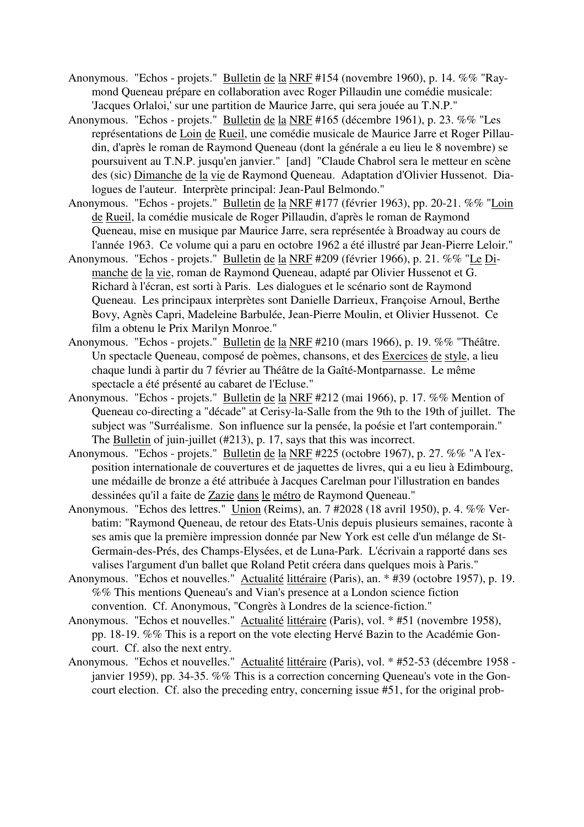- Anonymous. "Echos projets." Bulletin de la NRF #154 (novembre 1960), p. 14. %% "Raymond Queneau prépare en collaboration avec Roger Pillaudin une comédie musicale: 'Jacques Orlaloi,' sur une partition de Maurice Jarre, qui sera jouée au T.N.P."
- Anonymous. "Echos projets." Bulletin de la NRF #165 (décembre 1961), p. 23. %% "Les représentations de Loin de Rueil, une comédie musicale de Maurice Jarre et Roger Pillaudin, d'après le roman de Raymond Queneau (dont la générale a eu lieu le 8 novembre) se poursuivent au T.N.P. jusqu'en janvier." [and] "Claude Chabrol sera le metteur en scène des (sic) Dimanche de la vie de Raymond Queneau. Adaptation d'Olivier Hussenot. Dialogues de l'auteur. Interprète principal: Jean-Paul Belmondo."
- Anonymous. "Echos projets." Bulletin de la NRF #177 (février 1963), pp. 20-21. %% "Loin de Rueil, la comédie musicale de Roger Pillaudin, d'après le roman de Raymond Queneau, mise en musique par Maurice Jarre, sera représentée à Broadway au cours de l'année 1963. Ce volume qui a paru en octobre 1962 a été illustré par Jean-Pierre Leloir."
- Anonymous. "Echos projets." Bulletin de la NRF #209 (février 1966), p. 21. %% "Le Dimanche de la vie, roman de Raymond Queneau, adapté par Olivier Hussenot et G. Richard à l'écran, est sorti à Paris. Les dialogues et le scénario sont de Raymond Queneau. Les principaux interprètes sont Danielle Darrieux, Françoise Arnoul, Berthe Bovy, Agnès Capri, Madeleine Barbulée, Jean-Pierre Moulin, et Olivier Hussenot. Ce film a obtenu le Prix Marilyn Monroe."
- Anonymous. "Echos projets." Bulletin de la NRF #210 (mars 1966), p. 19. %% "Théâtre. Un spectacle Queneau, composé de poèmes, chansons, et des Exercices de style, a lieu chaque lundi à partir du 7 février au Théâtre de la Gaîté-Montparnasse. Le même spectacle a été présenté au cabaret de l'Ecluse."
- Anonymous. "Echos projets." Bulletin de la NRF #212 (mai 1966), p. 17. %% Mention of Queneau co-directing a "décade" at Cerisy-la-Salle from the 9th to the 19th of juillet. The subject was "Surréalisme. Son influence sur la pensée, la poésie et l'art contemporain." The Bulletin of juin-juillet (#213), p. 17, says that this was incorrect.
- Anonymous. "Echos projets." Bulletin de la NRF #225 (octobre 1967), p. 27. %% "A l'exposition internationale de couvertures et de jaquettes de livres, qui a eu lieu à Edimbourg, une médaille de bronze a été attribuée à Jacques Carelman pour l'illustration en bandes dessinées qu'il a faite de Zazie dans le métro de Raymond Queneau."
- Anonymous. "Echos des lettres." Union (Reims), an. 7 #2028 (18 avril 1950), p. 4. %% Verbatim: "Raymond Queneau, de retour des Etats-Unis depuis plusieurs semaines, raconte à ses amis que la première impression donnée par New York est celle d'un mélange de St-Germain-des-Prés, des Champs-Elysées, et de Luna-Park. L'écrivain a rapporté dans ses valises l'argument d'un ballet que Roland Petit créera dans quelques mois à Paris."
- Anonymous. "Echos et nouvelles." Actualité littéraire (Paris), an. \* #39 (octobre 1957), p. 19. %% This mentions Queneau's and Vian's presence at a London science fiction convention. Cf. Anonymous, "Congrès à Londres de la science-fiction."
- Anonymous. "Echos et nouvelles." Actualité littéraire (Paris), vol. \* #51 (novembre 1958), pp. 18-19. %% This is a report on the vote electing Hervé Bazin to the Académie Goncourt. Cf. also the next entry.
- Anonymous. "Echos et nouvelles." Actualité littéraire (Paris), vol. \* #52-53 (décembre 1958 janvier 1959), pp. 34-35. %% This is a correction concerning Queneau's vote in the Goncourt election. Cf. also the preceding entry, concerning issue #51, for the original prob-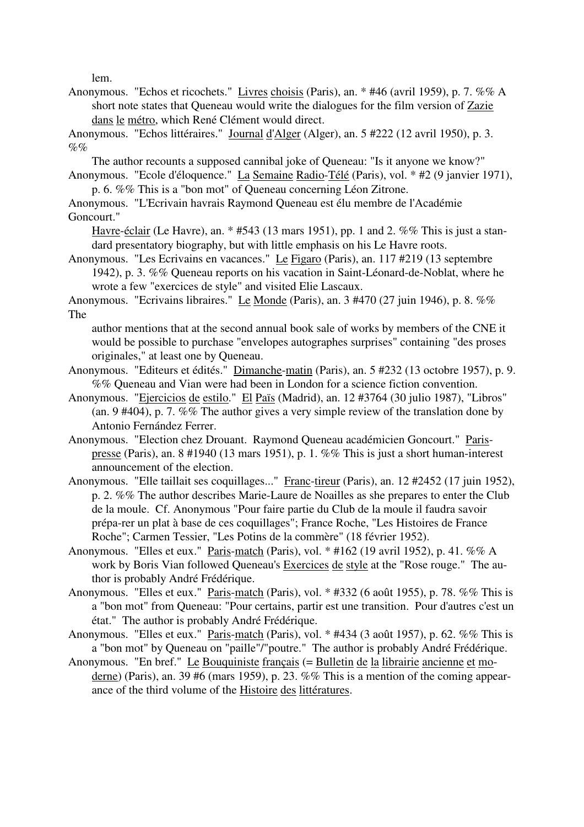lem.

Anonymous. "Echos et ricochets." Livres choisis (Paris), an. \* #46 (avril 1959), p. 7. %% A short note states that Queneau would write the dialogues for the film version of Zazie dans le métro, which René Clément would direct.

Anonymous. "Echos littéraires." Journal d'Alger (Alger), an. 5 #222 (12 avril 1950), p. 3.  $\mathcal{O}_0 \mathcal{O}_0$ 

The author recounts a supposed cannibal joke of Queneau: "Is it anyone we know?" Anonymous. "Ecole d'éloquence." La Semaine Radio-Télé (Paris), vol. \* #2 (9 janvier 1971),

p. 6. %% This is a "bon mot" of Queneau concerning Léon Zitrone.

Anonymous. "L'Ecrivain havrais Raymond Queneau est élu membre de l'Académie Goncourt."

Havre-éclair (Le Havre), an. \* #543 (13 mars 1951), pp. 1 and 2. %% This is just a standard presentatory biography, but with little emphasis on his Le Havre roots.

Anonymous. "Les Ecrivains en vacances." Le Figaro (Paris), an. 117 #219 (13 septembre 1942), p. 3. %% Queneau reports on his vacation in Saint-Léonard-de-Noblat, where he wrote a few "exercices de style" and visited Elie Lascaux.

Anonymous. "Ecrivains libraires." Le Monde (Paris), an. 3 #470 (27 juin 1946), p. 8. %% The

author mentions that at the second annual book sale of works by members of the CNE it would be possible to purchase "envelopes autographes surprises" containing "des proses originales," at least one by Queneau.

- Anonymous. "Editeurs et édités." Dimanche-matin (Paris), an. 5 #232 (13 octobre 1957), p. 9. %% Queneau and Vian were had been in London for a science fiction convention.
- Anonymous. "Ejercicios de estilo." El Païs (Madrid), an. 12 #3764 (30 julio 1987), "Libros" (an. 9 #404), p. 7. %% The author gives a very simple review of the translation done by Antonio Fernández Ferrer.
- Anonymous. "Election chez Drouant. Raymond Queneau académicien Goncourt." Parispresse (Paris), an. 8 #1940 (13 mars 1951), p. 1. %% This is just a short human-interest announcement of the election.
- Anonymous. "Elle taillait ses coquillages..." Franc-tireur (Paris), an. 12 #2452 (17 juin 1952), p. 2. %% The author describes Marie-Laure de Noailles as she prepares to enter the Club de la moule. Cf. Anonymous "Pour faire partie du Club de la moule il faudra savoir prépa-rer un plat à base de ces coquillages"; France Roche, "Les Histoires de France Roche"; Carmen Tessier, "Les Potins de la commère" (18 février 1952).
- Anonymous. "Elles et eux." Paris-match (Paris), vol. \* #162 (19 avril 1952), p. 41. %% A work by Boris Vian followed Queneau's Exercices de style at the "Rose rouge." The author is probably André Frédérique.
- Anonymous. "Elles et eux." Paris-match (Paris), vol. \* #332 (6 août 1955), p. 78. %% This is a "bon mot" from Queneau: "Pour certains, partir est une transition. Pour d'autres c'est un état." The author is probably André Frédérique.
- Anonymous. "Elles et eux." Paris-match (Paris), vol. \* #434 (3 août 1957), p. 62. %% This is a "bon mot" by Queneau on "paille"/"poutre." The author is probably André Frédérique.
- Anonymous. "En bref." Le Bouquiniste français (= Bulletin de la librairie ancienne et moderne) (Paris), an. 39 #6 (mars 1959), p. 23. %% This is a mention of the coming appearance of the third volume of the Histoire des littératures.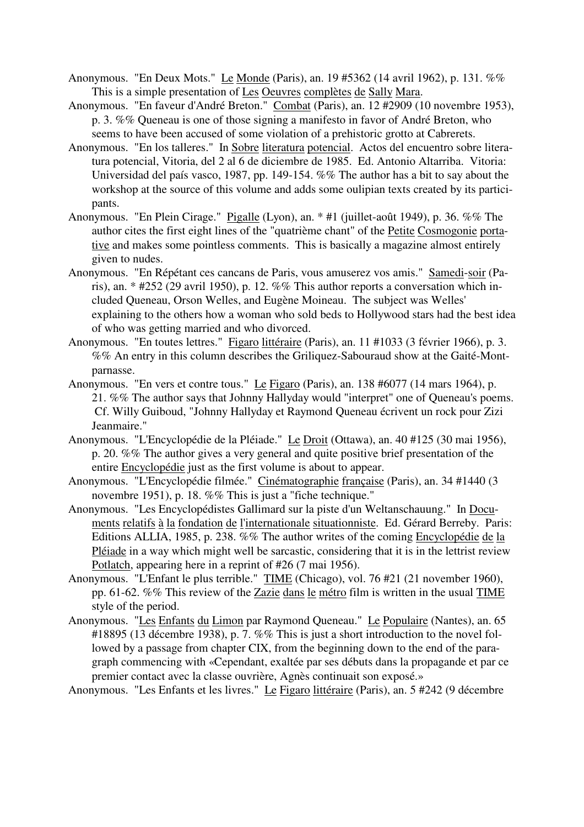- Anonymous. "En Deux Mots." Le Monde (Paris), an. 19 #5362 (14 avril 1962), p. 131. %% This is a simple presentation of Les Oeuvres complètes de Sally Mara.
- Anonymous. "En faveur d'André Breton." Combat (Paris), an. 12 #2909 (10 novembre 1953), p. 3. %% Queneau is one of those signing a manifesto in favor of André Breton, who seems to have been accused of some violation of a prehistoric grotto at Cabrerets.
- Anonymous. "En los talleres." In Sobre literatura potencial. Actos del encuentro sobre literatura potencial, Vitoria, del 2 al 6 de diciembre de 1985. Ed. Antonio Altarriba. Vitoria: Universidad del país vasco, 1987, pp. 149-154. %% The author has a bit to say about the workshop at the source of this volume and adds some oulipian texts created by its participants.
- Anonymous. "En Plein Cirage." Pigalle (Lyon), an. \* #1 (juillet-août 1949), p. 36. %% The author cites the first eight lines of the "quatrième chant" of the Petite Cosmogonie portative and makes some pointless comments. This is basically a magazine almost entirely given to nudes.
- Anonymous. "En Répétant ces cancans de Paris, vous amuserez vos amis." Samedi-soir (Paris), an.  $*$  #252 (29 avril 1950), p. 12. %% This author reports a conversation which included Queneau, Orson Welles, and Eugène Moineau. The subject was Welles' explaining to the others how a woman who sold beds to Hollywood stars had the best idea of who was getting married and who divorced.
- Anonymous. "En toutes lettres." Figaro littéraire (Paris), an. 11 #1033 (3 février 1966), p. 3. %% An entry in this column describes the Griliquez-Sabouraud show at the Gaité-Montparnasse.
- Anonymous. "En vers et contre tous." Le Figaro (Paris), an. 138 #6077 (14 mars 1964), p. 21. %% The author says that Johnny Hallyday would "interpret" one of Queneau's poems. Cf. Willy Guiboud, "Johnny Hallyday et Raymond Queneau écrivent un rock pour Zizi Jeanmaire."
- Anonymous. "L'Encyclopédie de la Pléiade." Le Droit (Ottawa), an. 40 #125 (30 mai 1956), p. 20. %% The author gives a very general and quite positive brief presentation of the entire Encyclopédie just as the first volume is about to appear.
- Anonymous. "L'Encyclopédie filmée." Cinématographie française (Paris), an. 34 #1440 (3 novembre 1951), p. 18. %% This is just a "fiche technique."
- Anonymous. "Les Encyclopédistes Gallimard sur la piste d'un Weltanschauung." In Documents relatifs à la fondation de l'internationale situationniste. Ed. Gérard Berreby. Paris: Editions ALLIA, 1985, p. 238. %% The author writes of the coming Encyclopédie de la Pléiade in a way which might well be sarcastic, considering that it is in the lettrist review Potlatch, appearing here in a reprint of #26 (7 mai 1956).
- Anonymous. "L'Enfant le plus terrible." TIME (Chicago), vol. 76 #21 (21 november 1960), pp. 61-62. %% This review of the Zazie dans le métro film is written in the usual TIME style of the period.
- Anonymous. "Les Enfants du Limon par Raymond Queneau." Le Populaire (Nantes), an. 65 #18895 (13 décembre 1938), p. 7. %% This is just a short introduction to the novel followed by a passage from chapter CIX, from the beginning down to the end of the paragraph commencing with «Cependant, exaltée par ses débuts dans la propagande et par ce premier contact avec la classe ouvrière, Agnès continuait son exposé.»

Anonymous. "Les Enfants et les livres." Le Figaro littéraire (Paris), an. 5 #242 (9 décembre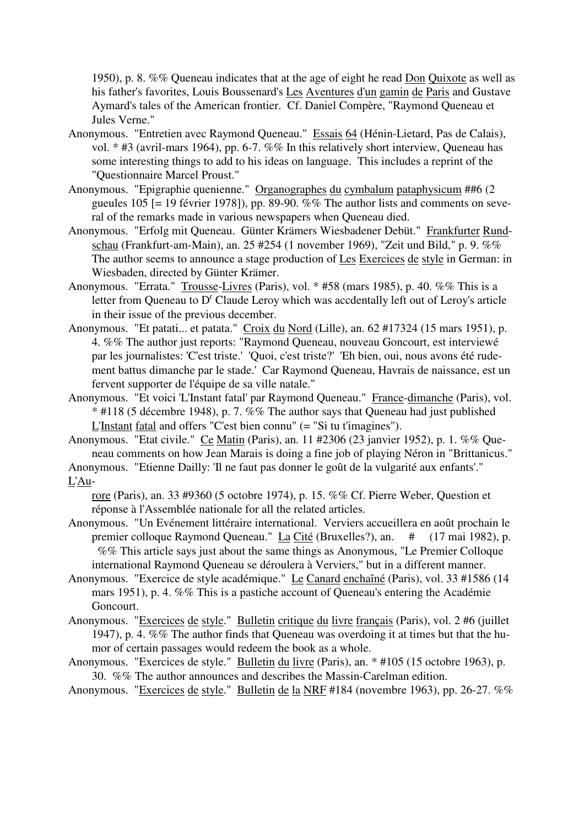1950), p. 8. %% Queneau indicates that at the age of eight he read Don Quixote as well as his father's favorites, Louis Boussenard's Les Aventures d'un gamin de Paris and Gustave Aymard's tales of the American frontier. Cf. Daniel Compère, "Raymond Queneau et Jules Verne."

- Anonymous. "Entretien avec Raymond Queneau." Essais 64 (Hénin-Lietard, Pas de Calais), vol. \* #3 (avril-mars 1964), pp. 6-7. %% In this relatively short interview, Queneau has some interesting things to add to his ideas on language. This includes a reprint of the "Questionnaire Marcel Proust."
- Anonymous. "Epigraphie quenienne." Organographes du cymbalum pataphysicum ##6 (2 gueules 105 [= 19 février 1978]), pp. 89-90. %% The author lists and comments on several of the remarks made in various newspapers when Queneau died.
- Anonymous. "Erfolg mit Queneau. Günter Krämers Wiesbadener Debüt." Frankfurter Rundschau (Frankfurt-am-Main), an. 25 #254 (1 november 1969), "Zeit und Bild," p. 9. %% The author seems to announce a stage production of Les Exercices de style in German: in Wiesbaden, directed by Günter Krämer.
- Anonymous. "Errata." Trousse-Livres (Paris), vol. \* #58 (mars 1985), p. 40. %% This is a letter from Queneau to D<sup>r</sup> Claude Leroy which was accdentally left out of Leroy's article in their issue of the previous december.
- Anonymous. "Et patati... et patata." Croix du Nord (Lille), an. 62 #17324 (15 mars 1951), p. 4. %% The author just reports: "Raymond Queneau, nouveau Goncourt, est interviewé par les journalistes: 'C'est triste.' 'Quoi, c'est triste?' 'Eh bien, oui, nous avons été rudement battus dimanche par le stade.' Car Raymond Queneau, Havrais de naissance, est un fervent supporter de l'équipe de sa ville natale."
- Anonymous. "Et voici 'L'Instant fatal' par Raymond Queneau." France-dimanche (Paris), vol. \* #118 (5 décembre 1948), p. 7. %% The author says that Queneau had just published L'Instant fatal and offers "C'est bien connu" (= "Si tu t'imagines").
- Anonymous. "Etat civile." Ce Matin (Paris), an. 11 #2306 (23 janvier 1952), p. 1. %% Queneau comments on how Jean Marais is doing a fine job of playing Néron in "Brittanicus." Anonymous. "Etienne Dailly: 'Il ne faut pas donner le goût de la vulgarité aux enfants'."

## L'Au-

rore (Paris), an. 33 #9360 (5 octobre 1974), p. 15. %% Cf. Pierre Weber, Question et réponse à l'Assemblée nationale for all the related articles.

- Anonymous. "Un Evénement littéraire international. Verviers accueillera en août prochain le premier colloque Raymond Queneau." La Cité (Bruxelles?), an. # (17 mai 1982), p. %% This article says just about the same things as Anonymous, "Le Premier Colloque international Raymond Queneau se déroulera à Verviers," but in a different manner.
- Anonymous. "Exercice de style académique." Le Canard enchaîné (Paris), vol. 33 #1586 (14 mars 1951), p. 4. %% This is a pastiche account of Queneau's entering the Académie Goncourt.
- Anonymous. "Exercices de style." Bulletin critique du livre français (Paris), vol. 2 #6 (juillet 1947), p. 4. %% The author finds that Queneau was overdoing it at times but that the humor of certain passages would redeem the book as a whole.
- Anonymous. "Exercices de style." Bulletin du livre (Paris), an. \* #105 (15 octobre 1963), p. 30. %% The author announces and describes the Massin-Carelman edition.
- Anonymous. "Exercices de style." Bulletin de la NRF #184 (novembre 1963), pp. 26-27. %%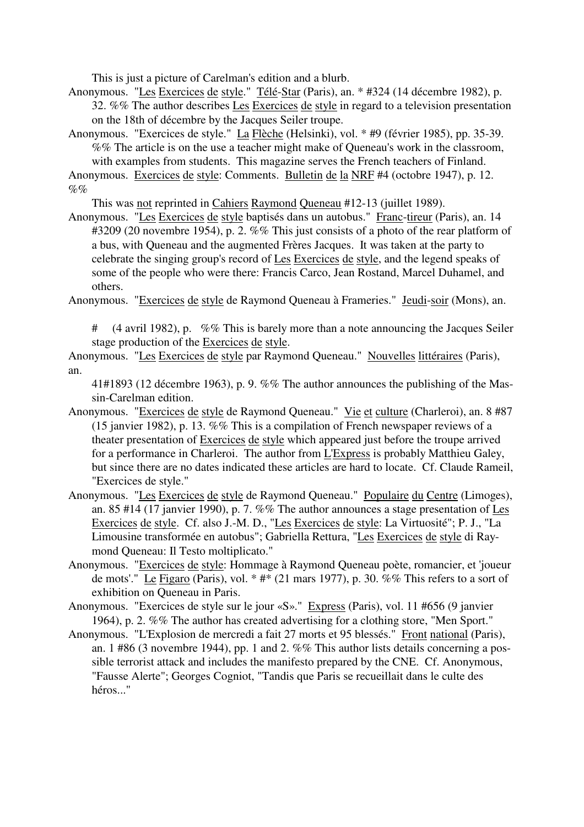This is just a picture of Carelman's edition and a blurb.

Anonymous. "Les Exercices de style." Télé-Star (Paris), an. \* #324 (14 décembre 1982), p. 32. %% The author describes Les Exercices de style in regard to a television presentation

on the 18th of décembre by the Jacques Seiler troupe.

Anonymous. "Exercices de style." La Flèche (Helsinki), vol. \* #9 (février 1985), pp. 35-39. %% The article is on the use a teacher might make of Queneau's work in the classroom, with examples from students. This magazine serves the French teachers of Finland.

Anonymous. Exercices de style: Comments. Bulletin de la NRF #4 (octobre 1947), p. 12.  $\%$ %

This was not reprinted in Cahiers Raymond Queneau #12-13 (juillet 1989).

Anonymous. "Les Exercices de style baptisés dans un autobus." Franc-tireur (Paris), an. 14 #3209 (20 novembre 1954), p. 2. %% This just consists of a photo of the rear platform of a bus, with Queneau and the augmented Frères Jacques. It was taken at the party to celebrate the singing group's record of Les Exercices de style, and the legend speaks of some of the people who were there: Francis Carco, Jean Rostand, Marcel Duhamel, and others.

Anonymous. "Exercices de style de Raymond Queneau à Frameries." Jeudi-soir (Mons), an.

 $(4$  avril 1982), p. %% This is barely more than a note announcing the Jacques Seiler stage production of the Exercices de style.

Anonymous. "Les Exercices de style par Raymond Queneau." Nouvelles littéraires (Paris), an.

41#1893 (12 décembre 1963), p. 9. %% The author announces the publishing of the Massin-Carelman edition.

- Anonymous. "Exercices de style de Raymond Queneau." Vie et culture (Charleroi), an. 8 #87 (15 janvier 1982), p. 13. %% This is a compilation of French newspaper reviews of a theater presentation of Exercices de style which appeared just before the troupe arrived for a performance in Charleroi. The author from L'Express is probably Matthieu Galey, but since there are no dates indicated these articles are hard to locate. Cf. Claude Rameil, "Exercices de style."
- Anonymous. "Les Exercices de style de Raymond Queneau." Populaire du Centre (Limoges), an. 85 #14 (17 janvier 1990), p. 7. %% The author announces a stage presentation of Les Exercices de style. Cf. also J.-M. D., "Les Exercices de style: La Virtuosité"; P. J., "La Limousine transformée en autobus"; Gabriella Rettura, "Les Exercices de style di Raymond Queneau: Il Testo moltiplicato."
- Anonymous. "Exercices de style: Hommage à Raymond Queneau poète, romancier, et 'joueur de mots'." Le Figaro (Paris), vol.  $*$  # $*$  (21 mars 1977), p. 30. %% This refers to a sort of exhibition on Queneau in Paris.
- Anonymous. "Exercices de style sur le jour «S»." Express (Paris), vol. 11 #656 (9 janvier 1964), p. 2. %% The author has created advertising for a clothing store, "Men Sport."
- Anonymous. "L'Explosion de mercredi a fait 27 morts et 95 blessés." Front national (Paris), an. 1 #86 (3 novembre 1944), pp. 1 and 2. %% This author lists details concerning a possible terrorist attack and includes the manifesto prepared by the CNE. Cf. Anonymous, "Fausse Alerte"; Georges Cogniot, "Tandis que Paris se recueillait dans le culte des héros."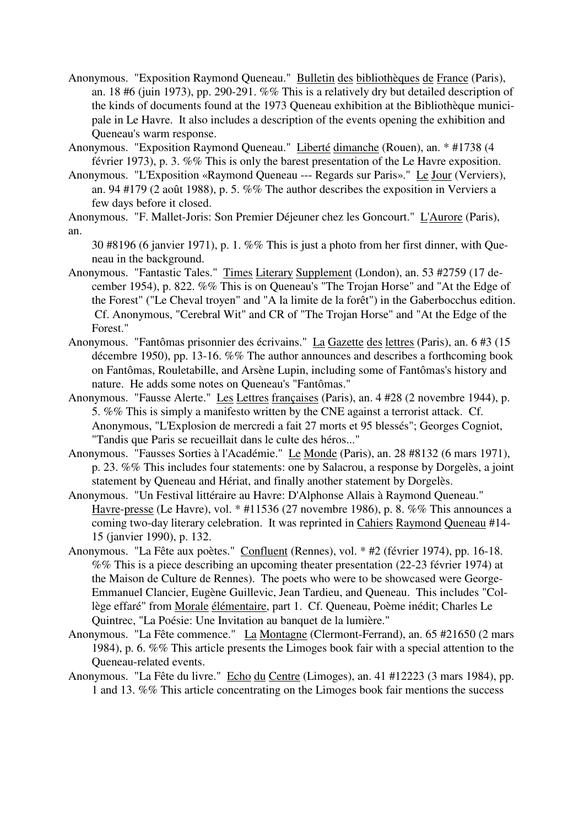- Anonymous. "Exposition Raymond Queneau." Bulletin des bibliothèques de France (Paris), an. 18 #6 (juin 1973), pp. 290-291. %% This is a relatively dry but detailed description of the kinds of documents found at the 1973 Queneau exhibition at the Bibliothèque municipale in Le Havre. It also includes a description of the events opening the exhibition and Queneau's warm response.
- Anonymous. "Exposition Raymond Queneau." Liberté dimanche (Rouen), an. \* #1738 (4 février 1973), p. 3. %% This is only the barest presentation of the Le Havre exposition.
- Anonymous. "L'Exposition «Raymond Queneau --- Regards sur Paris»." Le Jour (Verviers), an. 94 #179 (2 août 1988), p. 5. %% The author describes the exposition in Verviers a few days before it closed.

Anonymous. "F. Mallet-Joris: Son Premier Déjeuner chez les Goncourt." L'Aurore (Paris), an.

30 #8196 (6 janvier 1971), p. 1. %% This is just a photo from her first dinner, with Queneau in the background.

- Anonymous. "Fantastic Tales." Times Literary Supplement (London), an. 53 #2759 (17 december 1954), p. 822. %% This is on Queneau's "The Trojan Horse" and "At the Edge of the Forest" ("Le Cheval troyen" and "A la limite de la forêt") in the Gaberbocchus edition. Cf. Anonymous, "Cerebral Wit" and CR of "The Trojan Horse" and "At the Edge of the Forest."
- Anonymous. "Fantômas prisonnier des écrivains." La Gazette des lettres (Paris), an. 6 #3 (15 décembre 1950), pp. 13-16. %% The author announces and describes a forthcoming book on Fantômas, Rouletabille, and Arsène Lupin, including some of Fantômas's history and nature. He adds some notes on Queneau's "Fantômas."
- Anonymous. "Fausse Alerte." Les Lettres françaises (Paris), an. 4 #28 (2 novembre 1944), p. 5. %% This is simply a manifesto written by the CNE against a terrorist attack. Cf. Anonymous, "L'Explosion de mercredi a fait 27 morts et 95 blessés"; Georges Cogniot, "Tandis que Paris se recueillait dans le culte des héros..."
- Anonymous. "Fausses Sorties à l'Académie." Le Monde (Paris), an. 28 #8132 (6 mars 1971), p. 23. %% This includes four statements: one by Salacrou, a response by Dorgelès, a joint statement by Queneau and Hériat, and finally another statement by Dorgelès.
- Anonymous. "Un Festival littéraire au Havre: D'Alphonse Allais à Raymond Queneau." Havre-presse (Le Havre), vol. \* #11536 (27 novembre 1986), p. 8. %% This announces a coming two-day literary celebration. It was reprinted in Cahiers Raymond Queneau #14- 15 (janvier 1990), p. 132.
- Anonymous. "La Fête aux poètes." Confluent (Rennes), vol. \* #2 (février 1974), pp. 16-18. %% This is a piece describing an upcoming theater presentation (22-23 février 1974) at the Maison de Culture de Rennes). The poets who were to be showcased were George-Emmanuel Clancier, Eugène Guillevic, Jean Tardieu, and Queneau. This includes "Collège effaré" from Morale élémentaire, part 1. Cf. Queneau, Poème inédit; Charles Le Quintrec, "La Poésie: Une Invitation au banquet de la lumière."
- Anonymous. "La Fête commence." La Montagne (Clermont-Ferrand), an. 65 #21650 (2 mars 1984), p. 6. %% This article presents the Limoges book fair with a special attention to the Queneau-related events.
- Anonymous. "La Fête du livre." Echo du Centre (Limoges), an. 41 #12223 (3 mars 1984), pp. 1 and 13. %% This article concentrating on the Limoges book fair mentions the success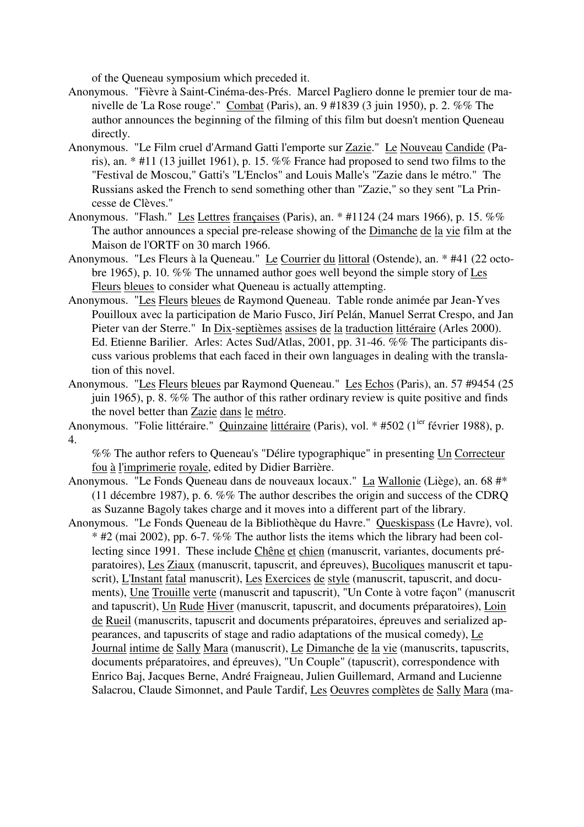of the Queneau symposium which preceded it.

- Anonymous. "Fièvre à Saint-Cinéma-des-Prés. Marcel Pagliero donne le premier tour de manivelle de 'La Rose rouge'." Combat (Paris), an. 9 #1839 (3 juin 1950), p. 2. %% The author announces the beginning of the filming of this film but doesn't mention Queneau directly.
- Anonymous. "Le Film cruel d'Armand Gatti l'emporte sur Zazie." Le Nouveau Candide (Paris), an. \* #11 (13 juillet 1961), p. 15. %% France had proposed to send two films to the "Festival de Moscou," Gatti's "L'Enclos" and Louis Malle's "Zazie dans le métro." The Russians asked the French to send something other than "Zazie," so they sent "La Princesse de Clèves."
- Anonymous. "Flash." Les Lettres françaises (Paris), an. \* #1124 (24 mars 1966), p. 15. %% The author announces a special pre-release showing of the Dimanche de la vie film at the Maison de l'ORTF on 30 march 1966.
- Anonymous. "Les Fleurs à la Queneau." Le Courrier du littoral (Ostende), an. \* #41 (22 octobre 1965), p. 10. %% The unnamed author goes well beyond the simple story of Les Fleurs bleues to consider what Queneau is actually attempting.
- Anonymous. "Les Fleurs bleues de Raymond Queneau. Table ronde animée par Jean-Yves Pouilloux avec la participation de Mario Fusco, Jirí Pelán, Manuel Serrat Crespo, and Jan Pieter van der Sterre." In Dix-septièmes assises de la traduction littéraire (Arles 2000). Ed. Etienne Barilier. Arles: Actes Sud/Atlas, 2001, pp. 31-46. %% The participants discuss various problems that each faced in their own languages in dealing with the translation of this novel.
- Anonymous. "Les Fleurs bleues par Raymond Queneau." Les Echos (Paris), an. 57 #9454 (25 juin 1965), p. 8. %% The author of this rather ordinary review is quite positive and finds the novel better than Zazie dans le métro.
- Anonymous. "Folie littéraire." Quinzaine littéraire (Paris), vol. \* #502 (1<sup>ier</sup> février 1988), p. 4.

%% The author refers to Queneau's "Délire typographique" in presenting Un Correcteur fou à l'imprimerie royale, edited by Didier Barrière.

Anonymous. "Le Fonds Queneau dans de nouveaux locaux." La Wallonie (Liège), an. 68 #\* (11 décembre 1987), p. 6. %% The author describes the origin and success of the CDRQ as Suzanne Bagoly takes charge and it moves into a different part of the library.

Anonymous. "Le Fonds Queneau de la Bibliothèque du Havre." Queskispass (Le Havre), vol.  $*$  #2 (mai 2002), pp. 6-7. %% The author lists the items which the library had been collecting since 1991. These include Chêne et chien (manuscrit, variantes, documents préparatoires), Les Ziaux (manuscrit, tapuscrit, and épreuves), Bucoliques manuscrit et tapuscrit), L'Instant fatal manuscrit), Les Exercices de style (manuscrit, tapuscrit, and documents), Une Trouille verte (manuscrit and tapuscrit), "Un Conte à votre façon" (manuscrit and tapuscrit), Un Rude Hiver (manuscrit, tapuscrit, and documents préparatoires), Loin de Rueil (manuscrits, tapuscrit and documents préparatoires, épreuves and serialized appearances, and tapuscrits of stage and radio adaptations of the musical comedy), Le Journal intime de Sally Mara (manuscrit), Le Dimanche de la vie (manuscrits, tapuscrits, documents préparatoires, and épreuves), "Un Couple" (tapuscrit), correspondence with Enrico Baj, Jacques Berne, André Fraigneau, Julien Guillemard, Armand and Lucienne Salacrou, Claude Simonnet, and Paule Tardif, Les Oeuvres complètes de Sally Mara (ma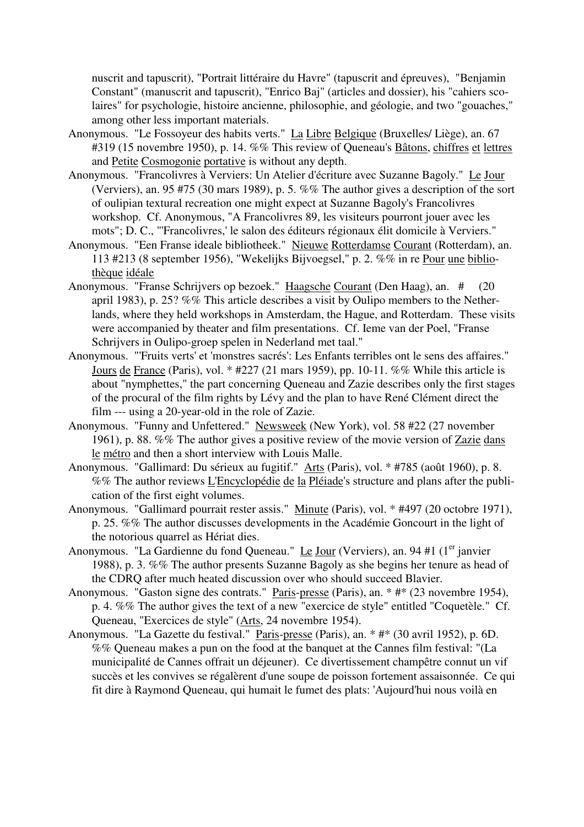nuscrit and tapuscrit), "Portrait littéraire du Havre" (tapuscrit and épreuves), "Benjamin Constant" (manuscrit and tapuscrit), "Enrico Baj" (articles and dossier), his "cahiers scolaires" for psychologie, histoire ancienne, philosophie, and géologie, and two "gouaches," among other less important materials.

- Anonymous. "Le Fossoyeur des habits verts." La Libre Belgique (Bruxelles/ Liège), an. 67 #319 (15 novembre 1950), p. 14. %% This review of Queneau's Bâtons, chiffres et lettres and Petite Cosmogonie portative is without any depth.
- Anonymous. "Francolivres à Verviers: Un Atelier d'écriture avec Suzanne Bagoly." Le Jour (Verviers), an. 95 #75 (30 mars 1989), p. 5. %% The author gives a description of the sort of oulipian textural recreation one might expect at Suzanne Bagoly's Francolivres workshop. Cf. Anonymous, "A Francolivres 89, les visiteurs pourront jouer avec les mots"; D. C., "'Francolivres,' le salon des éditeurs régionaux élit domicile à Verviers."
- Anonymous. "Een Franse ideale bibliotheek." Nieuwe Rotterdamse Courant (Rotterdam), an. 113 #213 (8 september 1956), "Wekelijks Bijvoegsel," p. 2. %% in re Pour une bibliothèque idéale
- Anonymous. "Franse Schrijvers op bezoek." Haagsche Courant (Den Haag), an. # (20 april 1983), p. 25? %% This article describes a visit by Oulipo members to the Netherlands, where they held workshops in Amsterdam, the Hague, and Rotterdam. These visits were accompanied by theater and film presentations. Cf. Ieme van der Poel, "Franse Schrijvers in Oulipo-groep spelen in Nederland met taal."
- Anonymous. "'Fruits verts' et 'monstres sacrés': Les Enfants terribles ont le sens des affaires." Jours de France (Paris), vol. \* #227 (21 mars 1959), pp. 10-11. %% While this article is about "nymphettes," the part concerning Queneau and Zazie describes only the first stages of the procural of the film rights by Lévy and the plan to have René Clément direct the film --- using a 20-year-old in the role of Zazie.
- Anonymous. "Funny and Unfettered." Newsweek (New York), vol. 58 #22 (27 november 1961), p. 88. %% The author gives a positive review of the movie version of Zazie dans le métro and then a short interview with Louis Malle.
- Anonymous. "Gallimard: Du sérieux au fugitif." Arts (Paris), vol. \* #785 (août 1960), p. 8. %% The author reviews L'Encyclopédie de la Pléiade's structure and plans after the publication of the first eight volumes.
- Anonymous. "Gallimard pourrait rester assis." Minute (Paris), vol. \* #497 (20 octobre 1971), p. 25. %% The author discusses developments in the Académie Goncourt in the light of the notorious quarrel as Hériat dies.
- Anonymous. "La Gardienne du fond Queneau." Le Jour (Verviers), an. 94 #1 (1<sup>er</sup> janvier 1988), p. 3. %% The author presents Suzanne Bagoly as she begins her tenure as head of the CDRQ after much heated discussion over who should succeed Blavier.
- Anonymous. "Gaston signe des contrats." Paris-presse (Paris), an. \* #\* (23 novembre 1954), p. 4. %% The author gives the text of a new "exercice de style" entitled "Coquetèle." Cf. Queneau, "Exercices de style" (Arts, 24 novembre 1954).
- Anonymous. "La Gazette du festival." Paris-presse (Paris), an. \* #\* (30 avril 1952), p. 6D. %% Queneau makes a pun on the food at the banquet at the Cannes film festival: "(La municipalité de Cannes offrait un déjeuner). Ce divertissement champêtre connut un vif succès et les convives se régalèrent d'une soupe de poisson fortement assaisonnée. Ce qui fit dire à Raymond Queneau, qui humait le fumet des plats: 'Aujourd'hui nous voilà en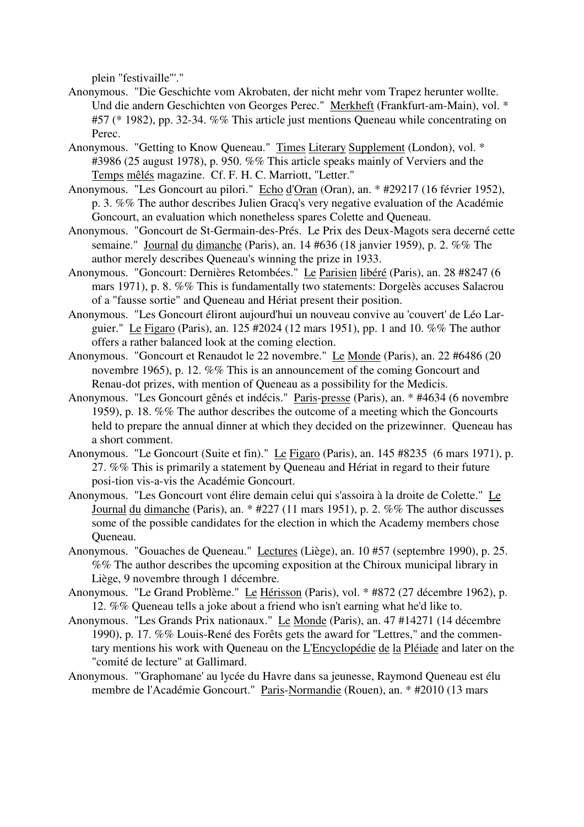plein "festivaille"'."

- Anonymous. "Die Geschichte vom Akrobaten, der nicht mehr vom Trapez herunter wollte. Und die andern Geschichten von Georges Perec." Merkheft (Frankfurt-am-Main), vol. \* #57 (\* 1982), pp. 32-34. %% This article just mentions Queneau while concentrating on Perec.
- Anonymous. "Getting to Know Queneau." Times Literary Supplement (London), vol. \* #3986 (25 august 1978), p. 950. %% This article speaks mainly of Verviers and the Temps mêlés magazine. Cf. F. H. C. Marriott, "Letter."
- Anonymous. "Les Goncourt au pilori." Echo d'Oran (Oran), an. \* #29217 (16 février 1952), p. 3. %% The author describes Julien Gracq's very negative evaluation of the Académie Goncourt, an evaluation which nonetheless spares Colette and Queneau.
- Anonymous. "Goncourt de St-Germain-des-Prés. Le Prix des Deux-Magots sera decerné cette semaine." Journal du dimanche (Paris), an. 14 #636 (18 janvier 1959), p. 2. %% The author merely describes Queneau's winning the prize in 1933.
- Anonymous. "Goncourt: Dernières Retombées." Le Parisien libéré (Paris), an. 28 #8247 (6 mars 1971), p. 8. %% This is fundamentally two statements: Dorgelès accuses Salacrou of a "fausse sortie" and Queneau and Hériat present their position.
- Anonymous. "Les Goncourt éliront aujourd'hui un nouveau convive au 'couvert' de Léo Larguier." Le Figaro (Paris), an. 125 #2024 (12 mars 1951), pp. 1 and 10. %% The author offers a rather balanced look at the coming election.
- Anonymous. "Goncourt et Renaudot le 22 novembre." Le Monde (Paris), an. 22 #6486 (20 novembre 1965), p. 12. %% This is an announcement of the coming Goncourt and Renau-dot prizes, with mention of Queneau as a possibility for the Medicis.
- Anonymous. "Les Goncourt gênés et indécis." Paris-presse (Paris), an. \* #4634 (6 novembre 1959), p. 18. %% The author describes the outcome of a meeting which the Goncourts held to prepare the annual dinner at which they decided on the prizewinner. Queneau has a short comment.
- Anonymous. "Le Goncourt (Suite et fin)." Le Figaro (Paris), an. 145 #8235 (6 mars 1971), p. 27. %% This is primarily a statement by Queneau and Hériat in regard to their future posi-tion vis-a-vis the Académie Goncourt.
- Anonymous. "Les Goncourt vont élire demain celui qui s'assoira à la droite de Colette." Le Journal du dimanche (Paris), an. \* #227 (11 mars 1951), p. 2. %% The author discusses some of the possible candidates for the election in which the Academy members chose Queneau.
- Anonymous. "Gouaches de Queneau." Lectures (Liège), an. 10 #57 (septembre 1990), p. 25. %% The author describes the upcoming exposition at the Chiroux municipal library in Liège, 9 novembre through 1 décembre.
- Anonymous. "Le Grand Problème." Le Hérisson (Paris), vol. \* #872 (27 décembre 1962), p. 12. %% Queneau tells a joke about a friend who isn't earning what he'd like to.
- Anonymous. "Les Grands Prix nationaux." Le Monde (Paris), an. 47 #14271 (14 décembre 1990), p. 17. %% Louis-René des Forêts gets the award for "Lettres," and the commentary mentions his work with Queneau on the L'Encyclopédie de la Pléiade and later on the "comité de lecture" at Gallimard.
- Anonymous. "'Graphomane' au lycée du Havre dans sa jeunesse, Raymond Queneau est élu membre de l'Académie Goncourt." Paris-Normandie (Rouen), an. \* #2010 (13 mars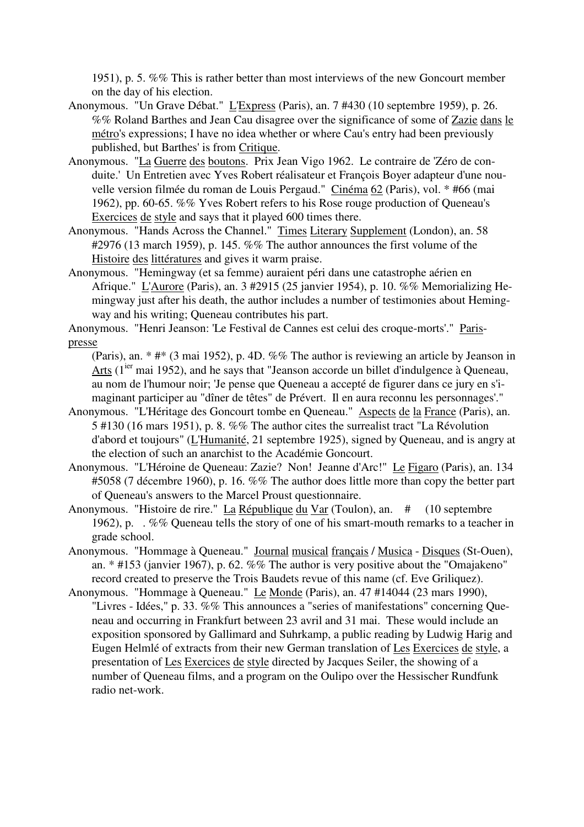1951), p. 5. %% This is rather better than most interviews of the new Goncourt member on the day of his election.

- Anonymous. "Un Grave Débat." L'Express (Paris), an. 7 #430 (10 septembre 1959), p. 26. %% Roland Barthes and Jean Cau disagree over the significance of some of Zazie dans le métro's expressions; I have no idea whether or where Cau's entry had been previously published, but Barthes' is from Critique.
- Anonymous. "La Guerre des boutons. Prix Jean Vigo 1962. Le contraire de 'Zéro de conduite.' Un Entretien avec Yves Robert réalisateur et François Boyer adapteur d'une nouvelle version filmée du roman de Louis Pergaud." Cinéma 62 (Paris), vol. \* #66 (mai 1962), pp. 60-65. %% Yves Robert refers to his Rose rouge production of Queneau's Exercices de style and says that it played 600 times there.
- Anonymous. "Hands Across the Channel." Times Literary Supplement (London), an. 58 #2976 (13 march 1959), p. 145. %% The author announces the first volume of the Histoire des littératures and gives it warm praise.
- Anonymous. "Hemingway (et sa femme) auraient péri dans une catastrophe aérien en Afrique." L'Aurore (Paris), an. 3 #2915 (25 janvier 1954), p. 10. %% Memorializing Hemingway just after his death, the author includes a number of testimonies about Hemingway and his writing; Queneau contributes his part.
- Anonymous. "Henri Jeanson: 'Le Festival de Cannes est celui des croque-morts'." Parispresse
	- (Paris), an. \* #\* (3 mai 1952), p. 4D. %% The author is reviewing an article by Jeanson in Arts  $(1^{jet}$  mai 1952), and he says that "Jeanson accorde un billet d'indulgence à Queneau, au nom de l'humour noir; 'Je pense que Queneau a accepté de figurer dans ce jury en s'imaginant participer au "dîner de têtes" de Prévert. Il en aura reconnu les personnages'."
- Anonymous. "L'Héritage des Goncourt tombe en Queneau." Aspects de la France (Paris), an. 5 #130 (16 mars 1951), p. 8. %% The author cites the surrealist tract "La Révolution d'abord et toujours" (L'Humanité, 21 septembre 1925), signed by Queneau, and is angry at the election of such an anarchist to the Académie Goncourt.
- Anonymous. "L'Héroine de Queneau: Zazie? Non! Jeanne d'Arc!" Le Figaro (Paris), an. 134 #5058 (7 décembre 1960), p. 16. %% The author does little more than copy the better part of Queneau's answers to the Marcel Proust questionnaire.
- Anonymous. "Histoire de rire." La République du Var (Toulon), an. # (10 septembre 1962), p. . %% Queneau tells the story of one of his smart-mouth remarks to a teacher in grade school.
- Anonymous. "Hommage à Queneau." Journal musical français / Musica Disques (St-Ouen), an.  $*$  #153 (janvier 1967), p. 62. %% The author is very positive about the "Omajakeno" record created to preserve the Trois Baudets revue of this name (cf. Eve Griliquez).
- Anonymous. "Hommage à Queneau." Le Monde (Paris), an. 47 #14044 (23 mars 1990), "Livres - Idées," p. 33. %% This announces a "series of manifestations" concerning Queneau and occurring in Frankfurt between 23 avril and 31 mai. These would include an exposition sponsored by Gallimard and Suhrkamp, a public reading by Ludwig Harig and Eugen Helmlé of extracts from their new German translation of Les Exercices de style, a presentation of Les Exercices de style directed by Jacques Seiler, the showing of a number of Queneau films, and a program on the Oulipo over the Hessischer Rundfunk radio net-work.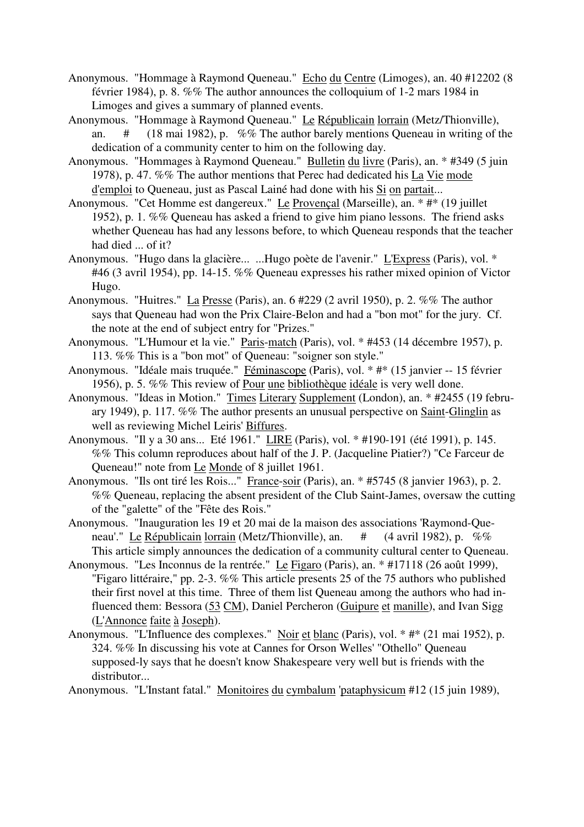- Anonymous. "Hommage à Raymond Queneau." Echo du Centre (Limoges), an. 40 #12202 (8 février 1984), p. 8. %% The author announces the colloquium of 1-2 mars 1984 in Limoges and gives a summary of planned events.
- Anonymous. "Hommage à Raymond Queneau." Le Républicain lorrain (Metz/Thionville), an. # (18 mai 1982), p. %% The author barely mentions Queneau in writing of the dedication of a community center to him on the following day.
- Anonymous. "Hommages à Raymond Queneau." Bulletin du livre (Paris), an. \* #349 (5 juin 1978), p. 47. %% The author mentions that Perec had dedicated his La Vie mode d'emploi to Queneau, just as Pascal Lainé had done with his Si on partait...
- Anonymous. "Cet Homme est dangereux." Le Provençal (Marseille), an. \* #\* (19 juillet 1952), p. 1. %% Queneau has asked a friend to give him piano lessons. The friend asks whether Queneau has had any lessons before, to which Queneau responds that the teacher had died ... of it?
- Anonymous. "Hugo dans la glacière... ...Hugo poète de l'avenir." L'Express (Paris), vol. \* #46 (3 avril 1954), pp. 14-15. %% Queneau expresses his rather mixed opinion of Victor Hugo.
- Anonymous. "Huitres." La Presse (Paris), an. 6 #229 (2 avril 1950), p. 2. %% The author says that Queneau had won the Prix Claire-Belon and had a "bon mot" for the jury. Cf. the note at the end of subject entry for "Prizes."
- Anonymous. "L'Humour et la vie." Paris-match (Paris), vol. \* #453 (14 décembre 1957), p. 113. %% This is a "bon mot" of Queneau: "soigner son style."
- Anonymous. "Idéale mais truquée." Féminascope (Paris), vol. \* #\* (15 janvier -- 15 février 1956), p. 5. %% This review of Pour une bibliothèque idéale is very well done.
- Anonymous. "Ideas in Motion." Times Literary Supplement (London), an. \* #2455 (19 february 1949), p. 117. %% The author presents an unusual perspective on Saint-Glinglin as well as reviewing Michel Leiris' Biffures.
- Anonymous. "Il y a 30 ans... Eté 1961." LIRE (Paris), vol. \* #190-191 (été 1991), p. 145. %% This column reproduces about half of the J. P. (Jacqueline Piatier?) "Ce Farceur de Queneau!" note from Le Monde of 8 juillet 1961.
- Anonymous. "Ils ont tiré les Rois..." France-soir (Paris), an. \* #5745 (8 janvier 1963), p. 2. %% Queneau, replacing the absent president of the Club Saint-James, oversaw the cutting of the "galette" of the "Fête des Rois."
- Anonymous. "Inauguration les 19 et 20 mai de la maison des associations 'Raymond-Queneau'." Le Républicain lorrain (Metz/Thionville), an. # (4 avril 1982), p. %% This article simply announces the dedication of a community cultural center to Queneau.
- Anonymous. "Les Inconnus de la rentrée." Le Figaro (Paris), an. \* #17118 (26 août 1999), "Figaro littéraire," pp. 2-3. %% This article presents 25 of the 75 authors who published their first novel at this time. Three of them list Queneau among the authors who had influenced them: Bessora (53 CM), Daniel Percheron (Guipure et manille), and Ivan Sigg (L'Annonce faite à Joseph).
- Anonymous. "L'Influence des complexes." Noir et blanc (Paris), vol. \* #\* (21 mai 1952), p. 324. %% In discussing his vote at Cannes for Orson Welles' "Othello" Queneau supposed-ly says that he doesn't know Shakespeare very well but is friends with the distributor...
- Anonymous. "L'Instant fatal." Monitoires du cymbalum 'pataphysicum #12 (15 juin 1989),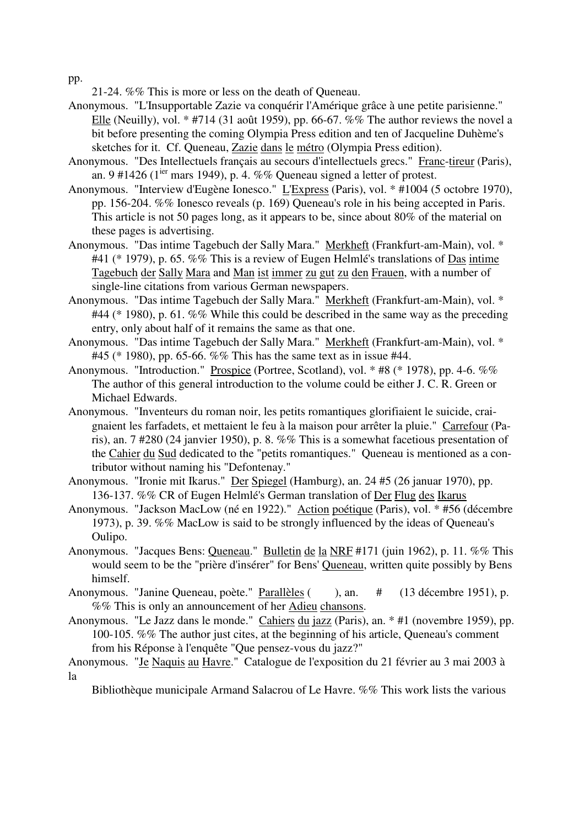pp.

21-24. %% This is more or less on the death of Queneau.

- Anonymous. "L'Insupportable Zazie va conquérir l'Amérique grâce à une petite parisienne." Elle (Neuilly), vol. \* #714 (31 août 1959), pp. 66-67. %% The author reviews the novel a bit before presenting the coming Olympia Press edition and ten of Jacqueline Duhème's sketches for it. Cf. Queneau, Zazie dans le métro (Olympia Press edition).
- Anonymous. "Des Intellectuels français au secours d'intellectuels grecs." Franc-tireur (Paris), an. 9 #1426 ( $1^{ier}$  mars 1949), p. 4. %% Queneau signed a letter of protest.
- Anonymous. "Interview d'Eugène Ionesco." L'Express (Paris), vol. \* #1004 (5 octobre 1970), pp. 156-204. %% Ionesco reveals (p. 169) Queneau's role in his being accepted in Paris. This article is not 50 pages long, as it appears to be, since about 80% of the material on these pages is advertising.
- Anonymous. "Das intime Tagebuch der Sally Mara." Merkheft (Frankfurt-am-Main), vol. \* #41 (\* 1979), p. 65. %% This is a review of Eugen Helmlé's translations of Das intime Tagebuch der Sally Mara and Man ist immer zu gut zu den Frauen, with a number of single-line citations from various German newspapers.
- Anonymous. "Das intime Tagebuch der Sally Mara." Merkheft (Frankfurt-am-Main), vol. \* #44 (\* 1980), p. 61. %% While this could be described in the same way as the preceding entry, only about half of it remains the same as that one.
- Anonymous. "Das intime Tagebuch der Sally Mara." Merkheft (Frankfurt-am-Main), vol. \* #45 (\* 1980), pp. 65-66. %% This has the same text as in issue #44.
- Anonymous. "Introduction." Prospice (Portree, Scotland), vol. \* #8 (\* 1978), pp. 4-6. %% The author of this general introduction to the volume could be either J. C. R. Green or Michael Edwards.
- Anonymous. "Inventeurs du roman noir, les petits romantiques glorifiaient le suicide, craignaient les farfadets, et mettaient le feu à la maison pour arrêter la pluie." Carrefour (Paris), an. 7 #280 (24 janvier 1950), p. 8. %% This is a somewhat facetious presentation of the Cahier du Sud dedicated to the "petits romantiques." Queneau is mentioned as a contributor without naming his "Defontenay."
- Anonymous. "Ironie mit Ikarus." Der Spiegel (Hamburg), an. 24 #5 (26 januar 1970), pp. 136-137. %% CR of Eugen Helmlé's German translation of Der Flug des Ikarus
- Anonymous. "Jackson MacLow (né en 1922)." Action poétique (Paris), vol. \* #56 (décembre 1973), p. 39. %% MacLow is said to be strongly influenced by the ideas of Queneau's Oulipo.
- Anonymous. "Jacques Bens: Queneau." Bulletin de la NRF #171 (juin 1962), p. 11. %% This would seem to be the "prière d'insérer" for Bens' Queneau, written quite possibly by Bens himself.
- Anonymous. "Janine Queneau, poète." Parallèles (), an.  $\#$  (13 décembre 1951), p. %% This is only an announcement of her Adieu chansons.
- Anonymous. "Le Jazz dans le monde." Cahiers du jazz (Paris), an. \* #1 (novembre 1959), pp. 100-105. %% The author just cites, at the beginning of his article, Queneau's comment from his Réponse à l'enquête "Que pensez-vous du jazz?"

Bibliothèque municipale Armand Salacrou of Le Havre. %% This work lists the various

Anonymous. "Je Naquis au Havre." Catalogue de l'exposition du 21 février au 3 mai 2003 à la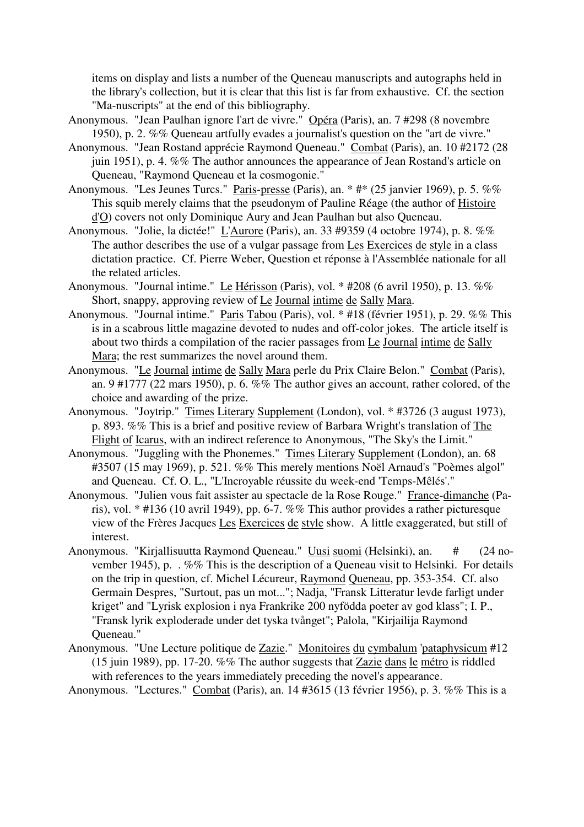items on display and lists a number of the Queneau manuscripts and autographs held in the library's collection, but it is clear that this list is far from exhaustive. Cf. the section "Ma-nuscripts" at the end of this bibliography.

- Anonymous. "Jean Paulhan ignore l'art de vivre." Opéra (Paris), an. 7 #298 (8 novembre 1950), p. 2. %% Queneau artfully evades a journalist's question on the "art de vivre."
- Anonymous. "Jean Rostand apprécie Raymond Queneau." Combat (Paris), an. 10 #2172 (28 juin 1951), p. 4. %% The author announces the appearance of Jean Rostand's article on Queneau, "Raymond Queneau et la cosmogonie."
- Anonymous. "Les Jeunes Turcs." Paris-presse (Paris), an. \* #\* (25 janvier 1969), p. 5. %% This squib merely claims that the pseudonym of Pauline Réage (the author of Histoire d'O) covers not only Dominique Aury and Jean Paulhan but also Queneau.
- Anonymous. "Jolie, la dictée!" L'Aurore (Paris), an. 33 #9359 (4 octobre 1974), p. 8. %% The author describes the use of a vulgar passage from Les Exercices de style in a class dictation practice. Cf. Pierre Weber, Question et réponse à l'Assemblée nationale for all the related articles.
- Anonymous. "Journal intime." Le Hérisson (Paris), vol. \* #208 (6 avril 1950), p. 13. %% Short, snappy, approving review of Le Journal intime de Sally Mara.
- Anonymous. "Journal intime." Paris Tabou (Paris), vol. \* #18 (février 1951), p. 29. %% This is in a scabrous little magazine devoted to nudes and off-color jokes. The article itself is about two thirds a compilation of the racier passages from Le Journal intime de Sally Mara; the rest summarizes the novel around them.
- Anonymous. "Le Journal intime de Sally Mara perle du Prix Claire Belon." Combat (Paris), an. 9 #1777 (22 mars 1950), p. 6. %% The author gives an account, rather colored, of the choice and awarding of the prize.
- Anonymous. "Joytrip." Times Literary Supplement (London), vol. \* #3726 (3 august 1973), p. 893. %% This is a brief and positive review of Barbara Wright's translation of The Flight of Icarus, with an indirect reference to Anonymous, "The Sky's the Limit."
- Anonymous. "Juggling with the Phonemes." Times Literary Supplement (London), an. 68 #3507 (15 may 1969), p. 521. %% This merely mentions Noël Arnaud's "Poèmes algol" and Queneau. Cf. O. L., "L'Incroyable réussite du week-end 'Temps-Mêlés'."
- Anonymous. "Julien vous fait assister au spectacle de la Rose Rouge." France-dimanche (Paris), vol. \* #136 (10 avril 1949), pp. 6-7. %% This author provides a rather picturesque view of the Frères Jacques Les Exercices de style show. A little exaggerated, but still of interest.
- Anonymous. "Kirjallisuutta Raymond Queneau." Uusi suomi (Helsinki), an. # (24 november 1945), p. . %% This is the description of a Queneau visit to Helsinki. For details on the trip in question, cf. Michel Lécureur, Raymond Queneau, pp. 353-354. Cf. also Germain Despres, "Surtout, pas un mot..."; Nadja, "Fransk Litteratur levde farligt under kriget" and "Lyrisk explosion i nya Frankrike 200 nyfödda poeter av god klass"; I. P., "Fransk lyrik exploderade under det tyska tvånget"; Palola, "Kirjailija Raymond Queneau."
- Anonymous. "Une Lecture politique de Zazie." Monitoires du cymbalum 'pataphysicum #12 (15 juin 1989), pp. 17-20. %% The author suggests that Zazie dans le métro is riddled with references to the years immediately preceding the novel's appearance.

Anonymous. "Lectures." Combat (Paris), an. 14 #3615 (13 février 1956), p. 3. %% This is a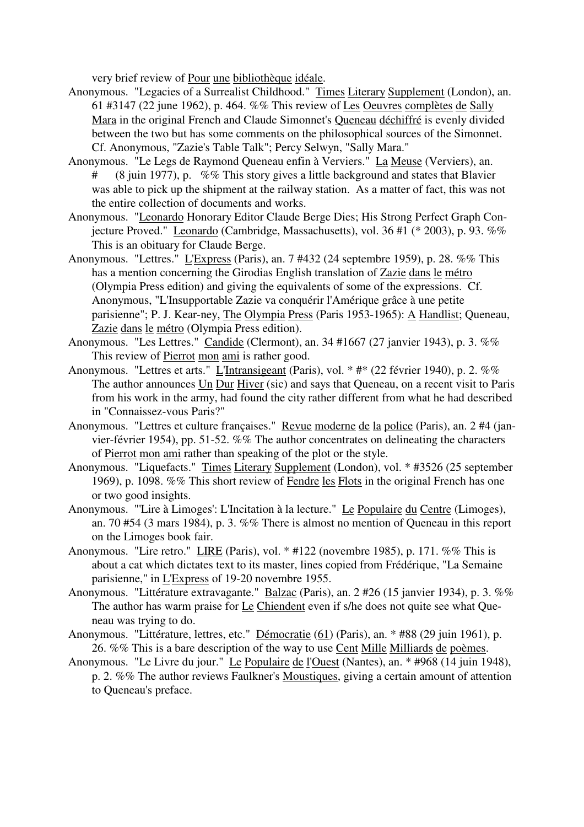very brief review of Pour une bibliothèque idéale.

- Anonymous. "Legacies of a Surrealist Childhood." Times Literary Supplement (London), an. 61 #3147 (22 june 1962), p. 464. %% This review of Les Oeuvres complètes de Sally Mara in the original French and Claude Simonnet's Queneau déchiffré is evenly divided between the two but has some comments on the philosophical sources of the Simonnet. Cf. Anonymous, "Zazie's Table Talk"; Percy Selwyn, "Sally Mara."
- Anonymous. "Le Legs de Raymond Queneau enfin à Verviers." La Meuse (Verviers), an. # (8 juin 1977), p. %% This story gives a little background and states that Blavier was able to pick up the shipment at the railway station. As a matter of fact, this was not the entire collection of documents and works.
- Anonymous. "Leonardo Honorary Editor Claude Berge Dies; His Strong Perfect Graph Conjecture Proved." Leonardo (Cambridge, Massachusetts), vol. 36 #1 (\* 2003), p. 93. %% This is an obituary for Claude Berge.
- Anonymous. "Lettres." L'Express (Paris), an. 7 #432 (24 septembre 1959), p. 28. %% This has a mention concerning the Girodias English translation of Zazie dans le métro (Olympia Press edition) and giving the equivalents of some of the expressions. Cf. Anonymous, "L'Insupportable Zazie va conquérir l'Amérique grâce à une petite parisienne"; P. J. Kear-ney, The Olympia Press (Paris 1953-1965): A Handlist; Queneau, Zazie dans le métro (Olympia Press edition).
- Anonymous. "Les Lettres." Candide (Clermont), an. 34 #1667 (27 janvier 1943), p. 3. %% This review of Pierrot mon ami is rather good.
- Anonymous. "Lettres et arts." L'Intransigeant (Paris), vol. \* #\* (22 février 1940), p. 2. %% The author announces Un Dur Hiver (sic) and says that Queneau, on a recent visit to Paris from his work in the army, had found the city rather different from what he had described in "Connaissez-vous Paris?"
- Anonymous. "Lettres et culture françaises." Revue moderne de la police (Paris), an. 2 #4 (janvier-février 1954), pp. 51-52. %% The author concentrates on delineating the characters of Pierrot mon ami rather than speaking of the plot or the style.
- Anonymous. "Liquefacts." Times Literary Supplement (London), vol. \* #3526 (25 september 1969), p. 1098. %% This short review of Fendre les Flots in the original French has one or two good insights.
- Anonymous. "'Lire à Limoges': L'Incitation à la lecture." Le Populaire du Centre (Limoges), an. 70 #54 (3 mars 1984), p. 3. %% There is almost no mention of Queneau in this report on the Limoges book fair.
- Anonymous. "Lire retro." LIRE (Paris), vol. \* #122 (novembre 1985), p. 171. %% This is about a cat which dictates text to its master, lines copied from Frédérique, "La Semaine parisienne," in L'Express of 19-20 novembre 1955.
- Anonymous. "Littérature extravagante." Balzac (Paris), an. 2 #26 (15 janvier 1934), p. 3. %% The author has warm praise for Le Chiendent even if s/he does not quite see what Queneau was trying to do.
- Anonymous. "Littérature, lettres, etc." Démocratie (61) (Paris), an. \* #88 (29 juin 1961), p. 26. %% This is a bare description of the way to use Cent Mille Milliards de poèmes.
- Anonymous. "Le Livre du jour." Le Populaire de l'Ouest (Nantes), an. \* #968 (14 juin 1948), p. 2. %% The author reviews Faulkner's Moustiques, giving a certain amount of attention to Queneau's preface.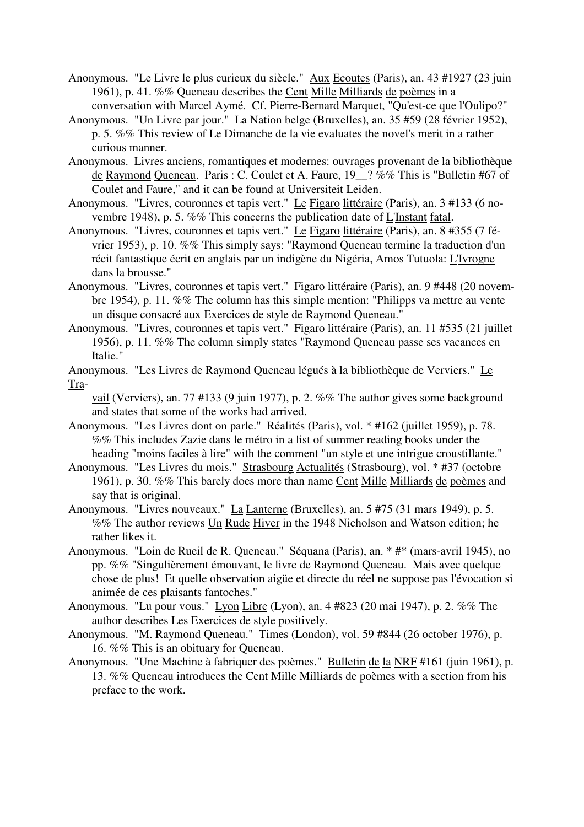- Anonymous. "Le Livre le plus curieux du siècle." Aux Ecoutes (Paris), an. 43 #1927 (23 juin 1961), p. 41. %% Queneau describes the Cent Mille Milliards de poèmes in a conversation with Marcel Aymé. Cf. Pierre-Bernard Marquet, "Qu'est-ce que l'Oulipo?"
- Anonymous. "Un Livre par jour." La Nation belge (Bruxelles), an. 35 #59 (28 février 1952), p. 5. %% This review of Le Dimanche de la vie evaluates the novel's merit in a rather curious manner.
- Anonymous. Livres anciens, romantiques et modernes: ouvrages provenant de la bibliothèque de Raymond Queneau. Paris : C. Coulet et A. Faure, 19\_\_? %% This is "Bulletin #67 of Coulet and Faure," and it can be found at Universiteit Leiden.
- Anonymous. "Livres, couronnes et tapis vert." Le Figaro littéraire (Paris), an. 3 #133 (6 novembre 1948), p. 5. %% This concerns the publication date of L'Instant fatal.
- Anonymous. "Livres, couronnes et tapis vert." Le Figaro littéraire (Paris), an. 8 #355 (7 février 1953), p. 10. %% This simply says: "Raymond Queneau termine la traduction d'un récit fantastique écrit en anglais par un indigène du Nigéria, Amos Tutuola: L'Ivrogne dans la brousse."
- Anonymous. "Livres, couronnes et tapis vert." Figaro littéraire (Paris), an. 9 #448 (20 novembre 1954), p. 11. %% The column has this simple mention: "Philipps va mettre au vente un disque consacré aux Exercices de style de Raymond Queneau."
- Anonymous. "Livres, couronnes et tapis vert." Figaro littéraire (Paris), an. 11 #535 (21 juillet 1956), p. 11. %% The column simply states "Raymond Queneau passe ses vacances en Italie."
- Anonymous. "Les Livres de Raymond Queneau légués à la bibliothèque de Verviers." Le Tra-

vail (Verviers), an. 77 #133 (9 juin 1977), p. 2. %% The author gives some background and states that some of the works had arrived.

- Anonymous. "Les Livres dont on parle." Réalités (Paris), vol. \* #162 (juillet 1959), p. 78. %% This includes Zazie dans le métro in a list of summer reading books under the heading "moins faciles à lire" with the comment "un style et une intrigue croustillante."
- Anonymous. "Les Livres du mois." Strasbourg Actualités (Strasbourg), vol. \* #37 (octobre 1961), p. 30. %% This barely does more than name Cent Mille Milliards de poèmes and say that is original.
- Anonymous. "Livres nouveaux." La Lanterne (Bruxelles), an. 5 #75 (31 mars 1949), p. 5. %% The author reviews Un Rude Hiver in the 1948 Nicholson and Watson edition; he rather likes it.
- Anonymous. "Loin de Rueil de R. Queneau." Séquana (Paris), an. \* #\* (mars-avril 1945), no pp. %% "Singulièrement émouvant, le livre de Raymond Queneau. Mais avec quelque chose de plus! Et quelle observation aigüe et directe du réel ne suppose pas l'évocation si animée de ces plaisants fantoches."
- Anonymous. "Lu pour vous." Lyon Libre (Lyon), an. 4 #823 (20 mai 1947), p. 2. %% The author describes Les Exercices de style positively.
- Anonymous. "M. Raymond Queneau." Times (London), vol. 59 #844 (26 october 1976), p. 16. %% This is an obituary for Queneau.
- Anonymous. "Une Machine à fabriquer des poèmes." Bulletin de la NRF #161 (juin 1961), p. 13. %% Queneau introduces the Cent Mille Milliards de poèmes with a section from his preface to the work.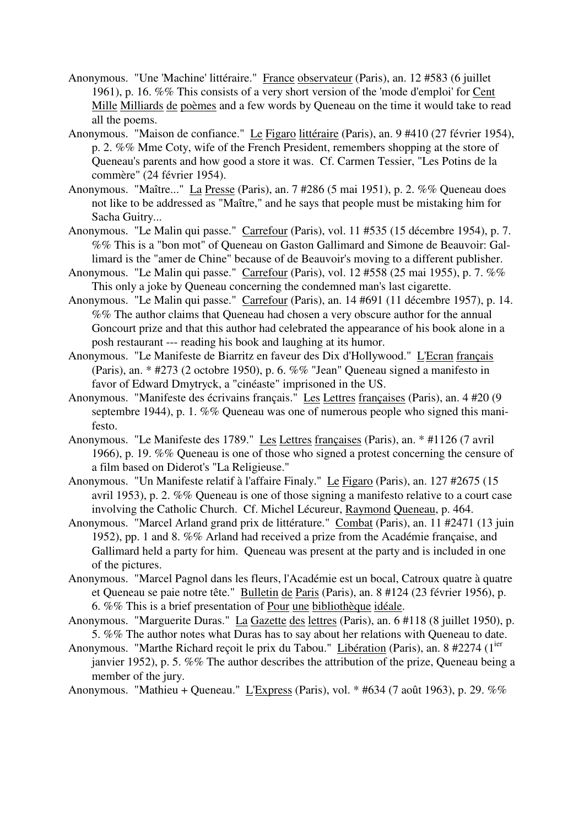- Anonymous. "Une 'Machine' littéraire." France observateur (Paris), an. 12 #583 (6 juillet 1961), p. 16. %% This consists of a very short version of the 'mode d'emploi' for Cent Mille Milliards de poèmes and a few words by Queneau on the time it would take to read all the poems.
- Anonymous. "Maison de confiance." Le Figaro littéraire (Paris), an. 9 #410 (27 février 1954), p. 2. %% Mme Coty, wife of the French President, remembers shopping at the store of Queneau's parents and how good a store it was. Cf. Carmen Tessier, "Les Potins de la commère" (24 février 1954).
- Anonymous. "Maître..." La Presse (Paris), an. 7 #286 (5 mai 1951), p. 2. %% Queneau does not like to be addressed as "Maître," and he says that people must be mistaking him for Sacha Guitry...
- Anonymous. "Le Malin qui passe." Carrefour (Paris), vol. 11 #535 (15 décembre 1954), p. 7. %% This is a "bon mot" of Queneau on Gaston Gallimard and Simone de Beauvoir: Gallimard is the "amer de Chine" because of de Beauvoir's moving to a different publisher.
- Anonymous. "Le Malin qui passe." Carrefour (Paris), vol. 12 #558 (25 mai 1955), p. 7. %% This only a joke by Queneau concerning the condemned man's last cigarette.
- Anonymous. "Le Malin qui passe." Carrefour (Paris), an. 14 #691 (11 décembre 1957), p. 14. %% The author claims that Queneau had chosen a very obscure author for the annual Goncourt prize and that this author had celebrated the appearance of his book alone in a posh restaurant --- reading his book and laughing at its humor.
- Anonymous. "Le Manifeste de Biarritz en faveur des Dix d'Hollywood." L'Ecran français (Paris), an. \* #273 (2 octobre 1950), p. 6. %% "Jean" Queneau signed a manifesto in favor of Edward Dmytryck, a "cinéaste" imprisoned in the US.
- Anonymous. "Manifeste des écrivains français." Les Lettres françaises (Paris), an. 4 #20 (9 septembre 1944), p. 1. %% Queneau was one of numerous people who signed this manifesto.
- Anonymous. "Le Manifeste des 1789." Les Lettres françaises (Paris), an. \* #1126 (7 avril 1966), p. 19. %% Queneau is one of those who signed a protest concerning the censure of a film based on Diderot's "La Religieuse."
- Anonymous. "Un Manifeste relatif à l'affaire Finaly." Le Figaro (Paris), an. 127 #2675 (15 avril 1953), p. 2. %% Queneau is one of those signing a manifesto relative to a court case involving the Catholic Church. Cf. Michel Lécureur, Raymond Queneau, p. 464.
- Anonymous. "Marcel Arland grand prix de littérature." Combat (Paris), an. 11 #2471 (13 juin 1952), pp. 1 and 8. %% Arland had received a prize from the Académie française, and Gallimard held a party for him. Queneau was present at the party and is included in one of the pictures.
- Anonymous. "Marcel Pagnol dans les fleurs, l'Académie est un bocal, Catroux quatre à quatre et Queneau se paie notre tête." Bulletin de Paris (Paris), an. 8 #124 (23 février 1956), p. 6. %% This is a brief presentation of Pour une bibliothèque idéale.
- Anonymous. "Marguerite Duras." La Gazette des lettres (Paris), an. 6 #118 (8 juillet 1950), p. 5. %% The author notes what Duras has to say about her relations with Queneau to date.
- Anonymous. "Marthe Richard reçoit le prix du Tabou." Libération (Paris), an. 8 #2274 (1<sup>ier</sup> janvier 1952), p. 5. %% The author describes the attribution of the prize, Queneau being a member of the jury.
- Anonymous. "Mathieu + Queneau." L'Express (Paris), vol. \* #634 (7 août 1963), p. 29. %%